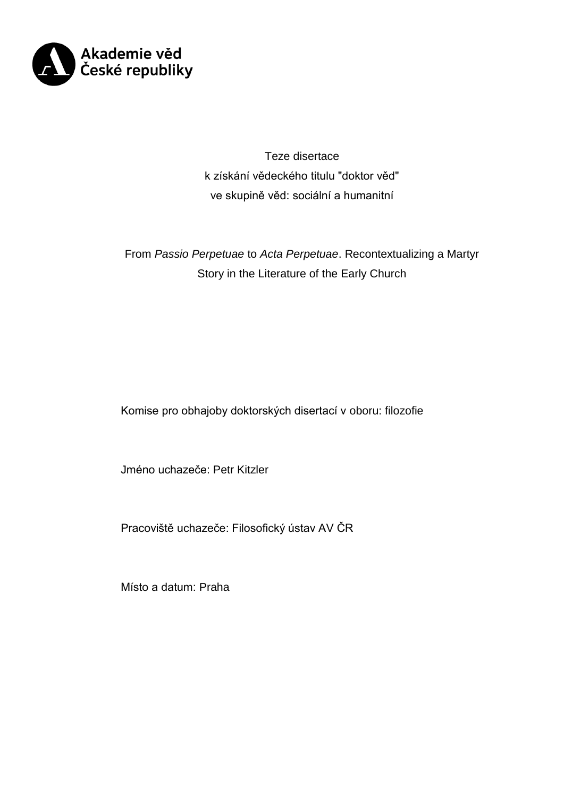

Teze disertace k získání vědeckého titulu "doktor věd" ve skupině věd: sociální a humanitní

From *Passio Perpetuae* to *Acta Perpetuae*. Recontextualizing a Martyr Story in the Literature of the Early Church

Komise pro obhajoby doktorských disertací v oboru: filozofie

Jméno uchazeče: Petr Kitzler

Pracoviště uchazeče: Filosofický ústav AV ČR

Místo a datum: Praha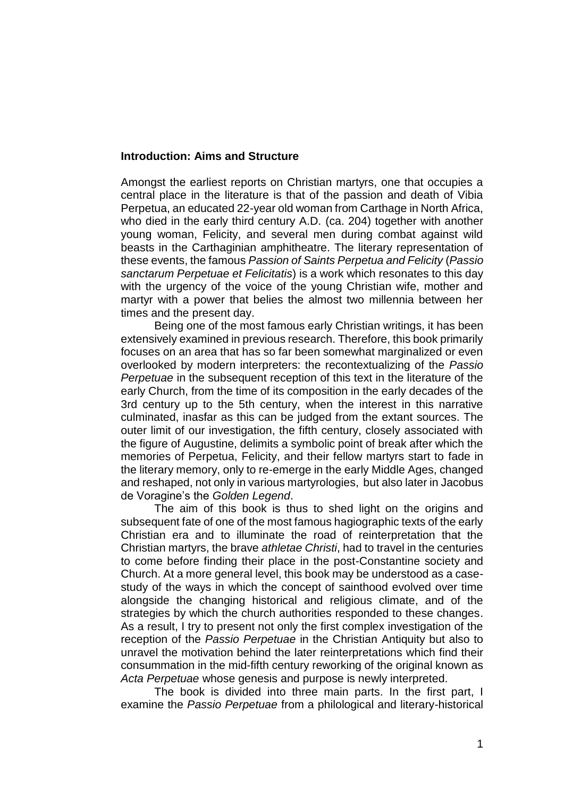### **Introduction: Aims and Structure**

Amongst the earliest reports on Christian martyrs, one that occupies a central place in the literature is that of the passion and death of Vibia Perpetua, an educated 22-year old woman from Carthage in North Africa, who died in the early third century A.D. (ca. 204) together with another young woman, Felicity, and several men during combat against wild beasts in the Carthaginian amphitheatre. The literary representation of these events, the famous *Passion of Saints Perpetua and Felicity* (*Passio sanctarum Perpetuae et Felicitatis*) is a work which resonates to this day with the urgency of the voice of the young Christian wife, mother and martyr with a power that belies the almost two millennia between her times and the present day.

Being one of the most famous early Christian writings, it has been extensively examined in previous research. Therefore, this book primarily focuses on an area that has so far been somewhat marginalized or even overlooked by modern interpreters: the recontextualizing of the *Passio Perpetuae* in the subsequent reception of this text in the literature of the early Church, from the time of its composition in the early decades of the 3rd century up to the 5th century, when the interest in this narrative culminated, inasfar as this can be judged from the extant sources. The outer limit of our investigation, the fifth century, closely associated with the figure of Augustine, delimits a symbolic point of break after which the memories of Perpetua, Felicity, and their fellow martyrs start to fade in the literary memory, only to re-emerge in the early Middle Ages, changed and reshaped, not only in various martyrologies, but also later in Jacobus de Voragine's the *Golden Legend*.

The aim of this book is thus to shed light on the origins and subsequent fate of one of the most famous hagiographic texts of the early Christian era and to illuminate the road of reinterpretation that the Christian martyrs, the brave *athletae Christi*, had to travel in the centuries to come before finding their place in the post-Constantine society and Church. At a more general level, this book may be understood as a casestudy of the ways in which the concept of sainthood evolved over time alongside the changing historical and religious climate, and of the strategies by which the church authorities responded to these changes. As a result, I try to present not only the first complex investigation of the reception of the *Passio Perpetuae* in the Christian Antiquity but also to unravel the motivation behind the later reinterpretations which find their consummation in the mid-fifth century reworking of the original known as *Acta Perpetuae* whose genesis and purpose is newly interpreted.

The book is divided into three main parts. In the first part, I examine the *Passio Perpetuae* from a philological and literary-historical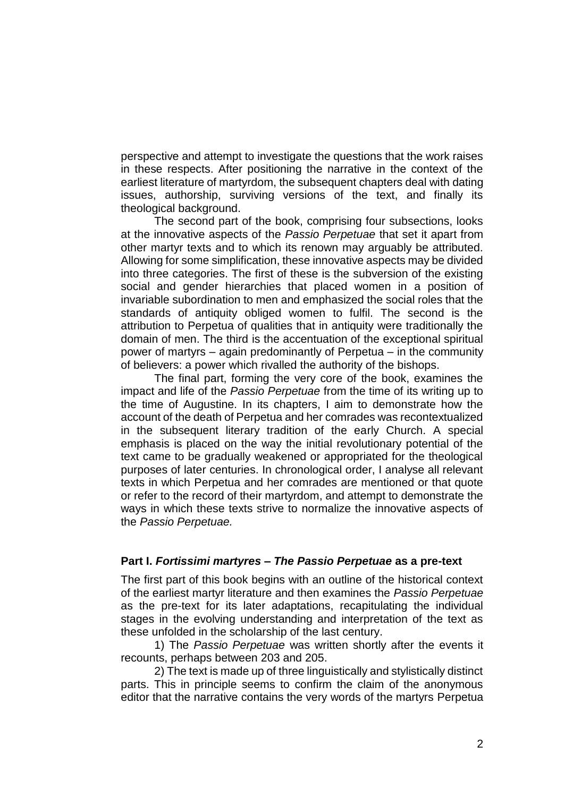perspective and attempt to investigate the questions that the work raises in these respects. After positioning the narrative in the context of the earliest literature of martyrdom, the subsequent chapters deal with dating issues, authorship, surviving versions of the text, and finally its theological background.

The second part of the book, comprising four subsections, looks at the innovative aspects of the *Passio Perpetuae* that set it apart from other martyr texts and to which its renown may arguably be attributed. Allowing for some simplification, these innovative aspects may be divided into three categories. The first of these is the subversion of the existing social and gender hierarchies that placed women in a position of invariable subordination to men and emphasized the social roles that the standards of antiquity obliged women to fulfil. The second is the attribution to Perpetua of qualities that in antiquity were traditionally the domain of men. The third is the accentuation of the exceptional spiritual power of martyrs – again predominantly of Perpetua – in the community of believers: a power which rivalled the authority of the bishops.

The final part, forming the very core of the book, examines the impact and life of the *Passio Perpetuae* from the time of its writing up to the time of Augustine. In its chapters, I aim to demonstrate how the account of the death of Perpetua and her comrades was recontextualized in the subsequent literary tradition of the early Church. A special emphasis is placed on the way the initial revolutionary potential of the text came to be gradually weakened or appropriated for the theological purposes of later centuries. In chronological order, I analyse all relevant texts in which Perpetua and her comrades are mentioned or that quote or refer to the record of their martyrdom, and attempt to demonstrate the ways in which these texts strive to normalize the innovative aspects of the *Passio Perpetuae.*

### **Part I.** *Fortissimi martyres – The Passio Perpetuae* **as a pre-text**

The first part of this book begins with an outline of the historical context of the earliest martyr literature and then examines the *Passio Perpetuae* as the pre-text for its later adaptations, recapitulating the individual stages in the evolving understanding and interpretation of the text as these unfolded in the scholarship of the last century.

1) The *Passio Perpetuae* was written shortly after the events it recounts, perhaps between 203 and 205.

2) The text is made up of three linguistically and stylistically distinct parts. This in principle seems to confirm the claim of the anonymous editor that the narrative contains the very words of the martyrs Perpetua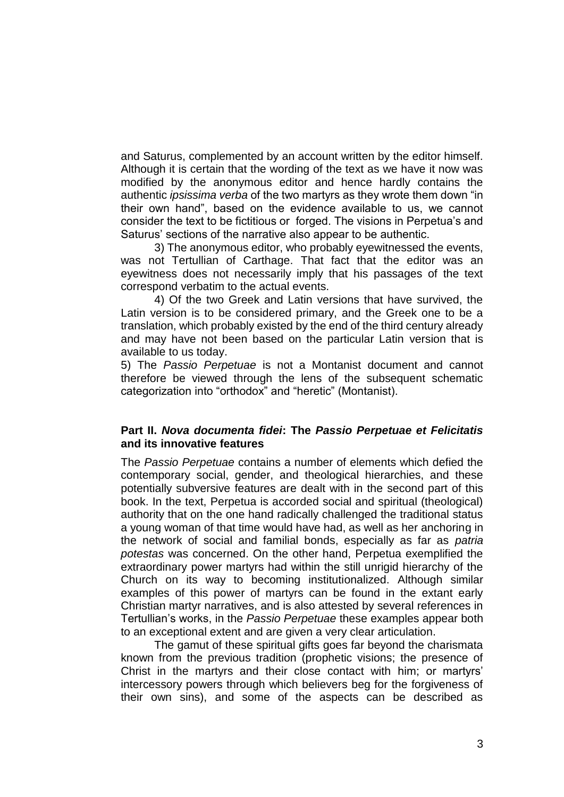and Saturus, complemented by an account written by the editor himself. Although it is certain that the wording of the text as we have it now was modified by the anonymous editor and hence hardly contains the authentic *ipsissima verba* of the two martyrs as they wrote them down "in their own hand", based on the evidence available to us, we cannot consider the text to be fictitious or forged. The visions in Perpetua's and Saturus' sections of the narrative also appear to be authentic.

3) The anonymous editor, who probably eyewitnessed the events, was not Tertullian of Carthage. That fact that the editor was an eyewitness does not necessarily imply that his passages of the text correspond verbatim to the actual events.

4) Of the two Greek and Latin versions that have survived, the Latin version is to be considered primary, and the Greek one to be a translation, which probably existed by the end of the third century already and may have not been based on the particular Latin version that is available to us today.

5) The *Passio Perpetuae* is not a Montanist document and cannot therefore be viewed through the lens of the subsequent schematic categorization into "orthodox" and "heretic" (Montanist).

### **Part II.** *Nova documenta fidei***: The** *Passio Perpetuae et Felicitatis*  **and its innovative features**

The *Passio Perpetuae* contains a number of elements which defied the contemporary social, gender, and theological hierarchies, and these potentially subversive features are dealt with in the second part of this book. In the text, Perpetua is accorded social and spiritual (theological) authority that on the one hand radically challenged the traditional status a young woman of that time would have had, as well as her anchoring in the network of social and familial bonds, especially as far as *patria potestas* was concerned. On the other hand, Perpetua exemplified the extraordinary power martyrs had within the still unrigid hierarchy of the Church on its way to becoming institutionalized. Although similar examples of this power of martyrs can be found in the extant early Christian martyr narratives, and is also attested by several references in Tertullian's works, in the *Passio Perpetuae* these examples appear both to an exceptional extent and are given a very clear articulation.

The gamut of these spiritual gifts goes far beyond the charismata known from the previous tradition (prophetic visions; the presence of Christ in the martyrs and their close contact with him; or martyrs' intercessory powers through which believers beg for the forgiveness of their own sins), and some of the aspects can be described as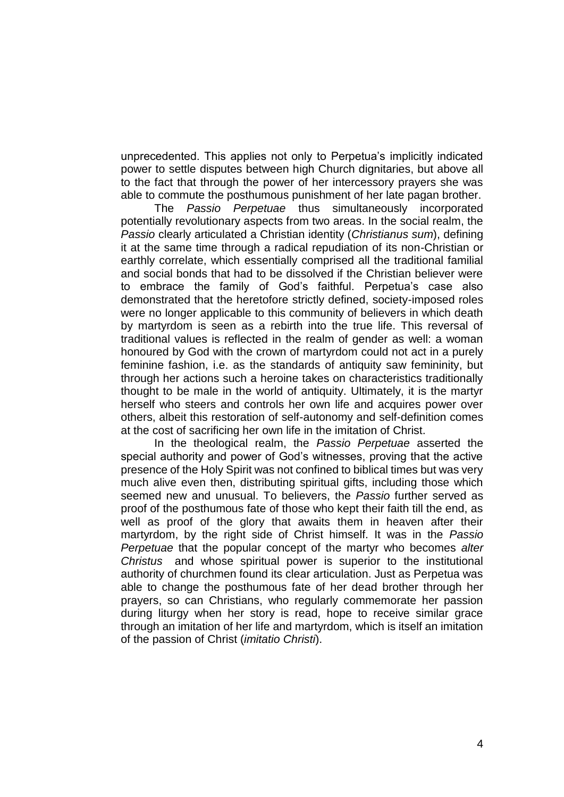unprecedented. This applies not only to Perpetua's implicitly indicated power to settle disputes between high Church dignitaries, but above all to the fact that through the power of her intercessory prayers she was able to commute the posthumous punishment of her late pagan brother.

The *Passio Perpetuae* thus simultaneously incorporated potentially revolutionary aspects from two areas. In the social realm, the *Passio* clearly articulated a Christian identity (*Christianus sum*), defining it at the same time through a radical repudiation of its non-Christian or earthly correlate, which essentially comprised all the traditional familial and social bonds that had to be dissolved if the Christian believer were to embrace the family of God's faithful. Perpetua's case also demonstrated that the heretofore strictly defined, society-imposed roles were no longer applicable to this community of believers in which death by martyrdom is seen as a rebirth into the true life. This reversal of traditional values is reflected in the realm of gender as well: a woman honoured by God with the crown of martyrdom could not act in a purely feminine fashion, i.e. as the standards of antiquity saw femininity, but through her actions such a heroine takes on characteristics traditionally thought to be male in the world of antiquity. Ultimately, it is the martyr herself who steers and controls her own life and acquires power over others, albeit this restoration of self-autonomy and self-definition comes at the cost of sacrificing her own life in the imitation of Christ.

In the theological realm, the *Passio Perpetuae* asserted the special authority and power of God's witnesses, proving that the active presence of the Holy Spirit was not confined to biblical times but was very much alive even then, distributing spiritual gifts, including those which seemed new and unusual. To believers, the *Passio* further served as proof of the posthumous fate of those who kept their faith till the end, as well as proof of the glory that awaits them in heaven after their martyrdom, by the right side of Christ himself. It was in the *Passio Perpetuae* that the popular concept of the martyr who becomes *alter Christus* and whose spiritual power is superior to the institutional authority of churchmen found its clear articulation. Just as Perpetua was able to change the posthumous fate of her dead brother through her prayers, so can Christians, who regularly commemorate her passion during liturgy when her story is read, hope to receive similar grace through an imitation of her life and martyrdom, which is itself an imitation of the passion of Christ (*imitatio Christi*).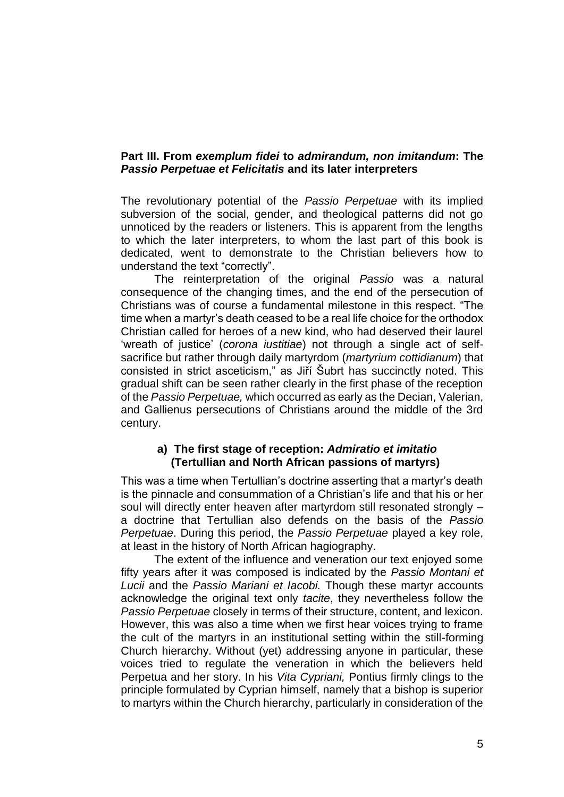# **Part III. From** *exemplum fidei* **to** *admirandum, non imitandum***: The**  *Passio Perpetuae et Felicitatis* **and its later interpreters**

The revolutionary potential of the *Passio Perpetuae* with its implied subversion of the social, gender, and theological patterns did not go unnoticed by the readers or listeners. This is apparent from the lengths to which the later interpreters, to whom the last part of this book is dedicated, went to demonstrate to the Christian believers how to understand the text "correctly".

The reinterpretation of the original *Passio* was a natural consequence of the changing times, and the end of the persecution of Christians was of course a fundamental milestone in this respect. "The time when a martyr's death ceased to be a real life choice for the orthodox Christian called for heroes of a new kind, who had deserved their laurel 'wreath of justice' (*corona iustitiae*) not through a single act of selfsacrifice but rather through daily martyrdom (*martyrium cottidianum*) that consisted in strict asceticism," as Jiří Šubrt has succinctly noted. This gradual shift can be seen rather clearly in the first phase of the reception of the *Passio Perpetuae,* which occurred as early as the Decian, Valerian, and Gallienus persecutions of Christians around the middle of the 3rd century.

# **a) The first stage of reception:** *Admiratio et imitatio*  **(Tertullian and North African passions of martyrs)**

This was a time when Tertullian's doctrine asserting that a martyr's death is the pinnacle and consummation of a Christian's life and that his or her soul will directly enter heaven after martyrdom still resonated strongly – a doctrine that Tertullian also defends on the basis of the *Passio Perpetuae*. During this period, the *Passio Perpetuae* played a key role, at least in the history of North African hagiography.

The extent of the influence and veneration our text enjoyed some fifty years after it was composed is indicated by the *Passio Montani et Lucii* and the *Passio Mariani et Iacobi.* Though these martyr accounts acknowledge the original text only *tacite*, they nevertheless follow the *Passio Perpetuae* closely in terms of their structure, content, and lexicon. However, this was also a time when we first hear voices trying to frame the cult of the martyrs in an institutional setting within the still-forming Church hierarchy. Without (yet) addressing anyone in particular, these voices tried to regulate the veneration in which the believers held Perpetua and her story. In his *Vita Cypriani,* Pontius firmly clings to the principle formulated by Cyprian himself, namely that a bishop is superior to martyrs within the Church hierarchy, particularly in consideration of the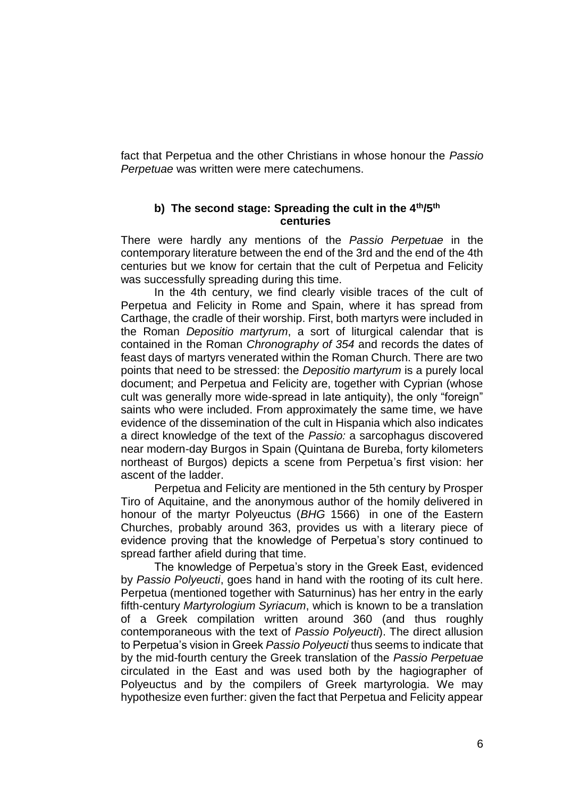fact that Perpetua and the other Christians in whose honour the *Passio Perpetuae* was written were mere catechumens.

### **b) The second stage: Spreading the cult in the 4th /5th centuries**

There were hardly any mentions of the *Passio Perpetuae* in the contemporary literature between the end of the 3rd and the end of the 4th centuries but we know for certain that the cult of Perpetua and Felicity was successfully spreading during this time.

In the 4th century, we find clearly visible traces of the cult of Perpetua and Felicity in Rome and Spain, where it has spread from Carthage, the cradle of their worship. First, both martyrs were included in the Roman *Depositio martyrum*, a sort of liturgical calendar that is contained in the Roman *Chronography of 354* and records the dates of feast days of martyrs venerated within the Roman Church. There are two points that need to be stressed: the *Depositio martyrum* is a purely local document; and Perpetua and Felicity are, together with Cyprian (whose cult was generally more wide-spread in late antiquity), the only "foreign" saints who were included. From approximately the same time, we have evidence of the dissemination of the cult in Hispania which also indicates a direct knowledge of the text of the *Passio:* a sarcophagus discovered near modern-day Burgos in Spain (Quintana de Bureba, forty kilometers northeast of Burgos) depicts a scene from Perpetua's first vision: her ascent of the ladder.

Perpetua and Felicity are mentioned in the 5th century by Prosper Tiro of Aquitaine, and the anonymous author of the homily delivered in honour of the martyr Polyeuctus (*BHG* 1566) in one of the Eastern Churches, probably around 363, provides us with a literary piece of evidence proving that the knowledge of Perpetua's story continued to spread farther afield during that time.

The knowledge of Perpetua's story in the Greek East, evidenced by *Passio Polyeucti*, goes hand in hand with the rooting of its cult here. Perpetua (mentioned together with Saturninus) has her entry in the early fifth-century *Martyrologium Syriacum*, which is known to be a translation of a Greek compilation written around 360 (and thus roughly contemporaneous with the text of *Passio Polyeucti*). The direct allusion to Perpetua's vision in Greek *Passio Polyeucti* thus seems to indicate that by the mid-fourth century the Greek translation of the *Passio Perpetuae* circulated in the East and was used both by the hagiographer of Polyeuctus and by the compilers of Greek martyrologia. We may hypothesize even further: given the fact that Perpetua and Felicity appear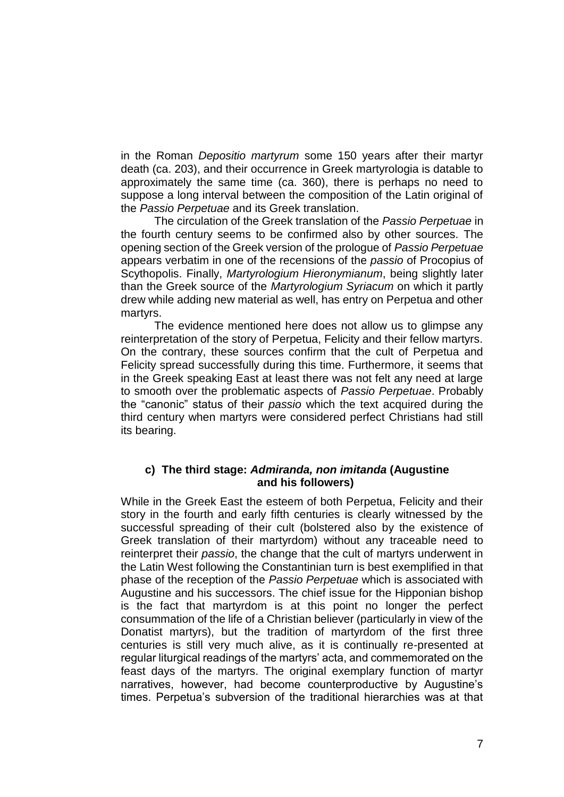in the Roman *Depositio martyrum* some 150 years after their martyr death (ca. 203), and their occurrence in Greek martyrologia is datable to approximately the same time (ca. 360), there is perhaps no need to suppose a long interval between the composition of the Latin original of the *Passio Perpetuae* and its Greek translation.

The circulation of the Greek translation of the *Passio Perpetuae* in the fourth century seems to be confirmed also by other sources. The opening section of the Greek version of the prologue of *Passio Perpetuae*  appears verbatim in one of the recensions of the *passio* of Procopius of Scythopolis. Finally, *Martyrologium Hieronymianum*, being slightly later than the Greek source of the *Martyrologium Syriacum* on which it partly drew while adding new material as well, has entry on Perpetua and other martyrs.

The evidence mentioned here does not allow us to glimpse any reinterpretation of the story of Perpetua, Felicity and their fellow martyrs. On the contrary, these sources confirm that the cult of Perpetua and Felicity spread successfully during this time. Furthermore, it seems that in the Greek speaking East at least there was not felt any need at large to smooth over the problematic aspects of *Passio Perpetuae*. Probably the "canonic" status of their *passio* which the text acquired during the third century when martyrs were considered perfect Christians had still its bearing.

## **c) The third stage:** *Admiranda, non imitanda* **(Augustine and his followers)**

While in the Greek East the esteem of both Perpetua, Felicity and their story in the fourth and early fifth centuries is clearly witnessed by the successful spreading of their cult (bolstered also by the existence of Greek translation of their martyrdom) without any traceable need to reinterpret their *passio*, the change that the cult of martyrs underwent in the Latin West following the Constantinian turn is best exemplified in that phase of the reception of the *Passio Perpetuae* which is associated with Augustine and his successors. The chief issue for the Hipponian bishop is the fact that martyrdom is at this point no longer the perfect consummation of the life of a Christian believer (particularly in view of the Donatist martyrs), but the tradition of martyrdom of the first three centuries is still very much alive, as it is continually re-presented at regular liturgical readings of the martyrs' acta, and commemorated on the feast days of the martyrs. The original exemplary function of martyr narratives, however, had become counterproductive by Augustine's times. Perpetua's subversion of the traditional hierarchies was at that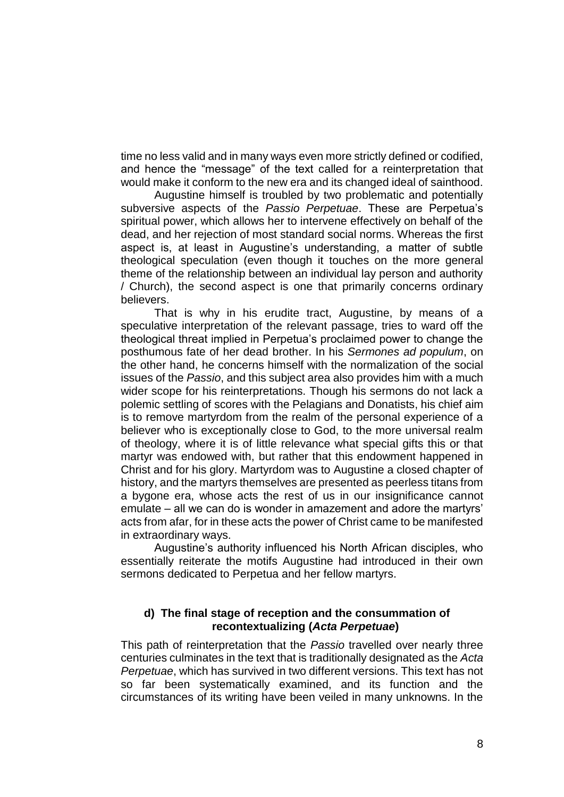time no less valid and in many ways even more strictly defined or codified, and hence the "message" of the text called for a reinterpretation that would make it conform to the new era and its changed ideal of sainthood.

Augustine himself is troubled by two problematic and potentially subversive aspects of the *Passio Perpetuae*. These are Perpetua's spiritual power, which allows her to intervene effectively on behalf of the dead, and her rejection of most standard social norms. Whereas the first aspect is, at least in Augustine's understanding, a matter of subtle theological speculation (even though it touches on the more general theme of the relationship between an individual lay person and authority / Church), the second aspect is one that primarily concerns ordinary believers.

That is why in his erudite tract, Augustine, by means of a speculative interpretation of the relevant passage, tries to ward off the theological threat implied in Perpetua's proclaimed power to change the posthumous fate of her dead brother. In his *Sermones ad populum*, on the other hand, he concerns himself with the normalization of the social issues of the *Passio*, and this subject area also provides him with a much wider scope for his reinterpretations. Though his sermons do not lack a polemic settling of scores with the Pelagians and Donatists, his chief aim is to remove martyrdom from the realm of the personal experience of a believer who is exceptionally close to God, to the more universal realm of theology, where it is of little relevance what special gifts this or that martyr was endowed with, but rather that this endowment happened in Christ and for his glory. Martyrdom was to Augustine a closed chapter of history, and the martyrs themselves are presented as peerless titans from a bygone era, whose acts the rest of us in our insignificance cannot emulate – all we can do is wonder in amazement and adore the martyrs' acts from afar, for in these acts the power of Christ came to be manifested in extraordinary ways.

Augustine's authority influenced his North African disciples, who essentially reiterate the motifs Augustine had introduced in their own sermons dedicated to Perpetua and her fellow martyrs.

### **d) The final stage of reception and the consummation of recontextualizing (***Acta Perpetuae***)**

This path of reinterpretation that the *Passio* travelled over nearly three centuries culminates in the text that is traditionally designated as the *Acta Perpetuae*, which has survived in two different versions. This text has not so far been systematically examined, and its function and the circumstances of its writing have been veiled in many unknowns. In the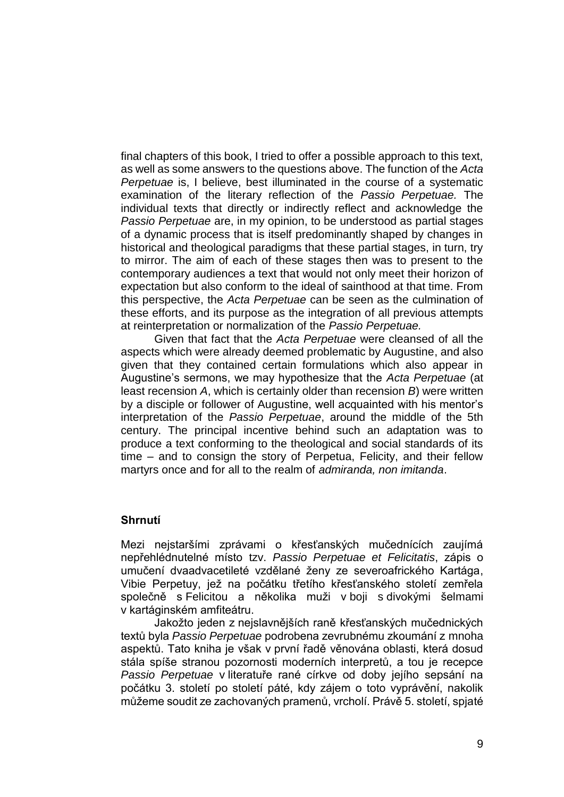final chapters of this book, I tried to offer a possible approach to this text, as well as some answers to the questions above. The function of the *Acta Perpetuae* is, I believe, best illuminated in the course of a systematic examination of the literary reflection of the *Passio Perpetuae.* The individual texts that directly or indirectly reflect and acknowledge the *Passio Perpetuae* are, in my opinion, to be understood as partial stages of a dynamic process that is itself predominantly shaped by changes in historical and theological paradigms that these partial stages, in turn, try to mirror. The aim of each of these stages then was to present to the contemporary audiences a text that would not only meet their horizon of expectation but also conform to the ideal of sainthood at that time. From this perspective, the *Acta Perpetuae* can be seen as the culmination of these efforts, and its purpose as the integration of all previous attempts at reinterpretation or normalization of the *Passio Perpetuae.*

Given that fact that the *Acta Perpetuae* were cleansed of all the aspects which were already deemed problematic by Augustine, and also given that they contained certain formulations which also appear in Augustine's sermons, we may hypothesize that the *Acta Perpetuae* (at least recension *A*, which is certainly older than recension *B*) were written by a disciple or follower of Augustine, well acquainted with his mentor's interpretation of the *Passio Perpetuae*, around the middle of the 5th century. The principal incentive behind such an adaptation was to produce a text conforming to the theological and social standards of its time – and to consign the story of Perpetua, Felicity, and their fellow martyrs once and for all to the realm of *admiranda, non imitanda*.

### **Shrnutí**

Mezi nejstaršími zprávami o křesťanských mučednících zaujímá nepřehlédnutelné místo tzv. *Passio Perpetuae et Felicitatis*, zápis o umučení dvaadvacetileté vzdělané ženy ze severoafrického Kartága, Vibie Perpetuy, jež na počátku třetího křesťanského století zemřela společně s Felicitou a několika muži v boji s divokými šelmami v kartáginském amfiteátru.

Jakožto jeden z nejslavnějších raně křesťanských mučednických textů byla *Passio Perpetuae* podrobena zevrubnému zkoumání z mnoha aspektů. Tato kniha je však v první řadě věnována oblasti, která dosud stála spíše stranou pozornosti moderních interpretů, a tou je recepce *Passio Perpetuae* v literatuře rané církve od doby jejího sepsání na počátku 3. století po století páté, kdy zájem o toto vyprávění, nakolik můžeme soudit ze zachovaných pramenů, vrcholí. Právě 5. století, spjaté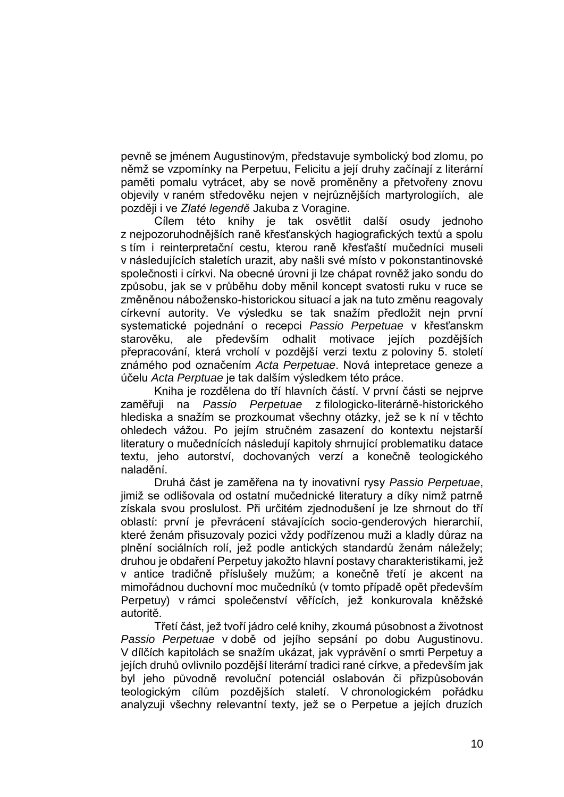pevně se jménem Augustinovým, představuje symbolický bod zlomu, po němž se vzpomínky na Perpetuu, Felicitu a její druhy začínají z literární paměti pomalu vytrácet, aby se nově proměněny a přetvořeny znovu objevily v raném středověku nejen v nejrůznějších martyrologiích, ale později i ve *Zlaté legendě* Jakuba z Voragine.

Cílem této knihy je tak osvětlit další osudy jednoho z nejpozoruhodnějších raně křesťanských hagiografických textů a spolu s tím i reinterpretační cestu, kterou raně křesťaští mučedníci museli v následujících staletích urazit, aby našli své místo v pokonstantinovské společnosti i církvi. Na obecné úrovni ji lze chápat rovněž jako sondu do způsobu, jak se v průběhu doby měnil koncept svatosti ruku v ruce se změněnou nábožensko-historickou situací a jak na tuto změnu reagovaly církevní autority. Ve výsledku se tak snažím předložit nejn první systematické pojednání o recepci *Passio Perpetuae* v křesťanskm starověku, ale především odhalit motivace jejích pozdějších přepracování, která vrcholí v pozdější verzi textu z poloviny 5. století známého pod označením *Acta Perpetuae*. Nová intepretace geneze a účelu *Acta Perptuae* je tak dalším výsledkem této práce.

Kniha je rozdělena do tří hlavních částí. V první části se nejprve zaměřuji na *Passio Perpetuae* z filologicko-literárně-historického hlediska a snažím se prozkoumat všechny otázky, jež se k ní v těchto ohledech vážou. Po jejím stručném zasazení do kontextu nejstarší literatury o mučednících následují kapitoly shrnující problematiku datace textu, jeho autorství, dochovaných verzí a konečně teologického naladění.

Druhá část je zaměřena na ty inovativní rysy *Passio Perpetuae*, jimiž se odlišovala od ostatní mučednické literatury a díky nimž patrně získala svou proslulost. Při určitém zjednodušení je lze shrnout do tří oblastí: první je převrácení stávajících socio-genderových hierarchií, které ženám přisuzovaly pozici vždy podřízenou muži a kladly důraz na plnění sociálních rolí, jež podle antických standardů ženám náležely; druhou je obdaření Perpetuy jakožto hlavní postavy charakteristikami, jež v antice tradičně příslušely mužům; a konečně třetí je akcent na mimořádnou duchovní moc mučedníků (v tomto případě opět především Perpetuy) v rámci společenství věřících, jež konkurovala kněžské autoritě.

Třetí část, jež tvoří jádro celé knihy, zkoumá působnost a životnost *Passio Perpetuae* v době od jejího sepsání po dobu Augustinovu. V dílčích kapitolách se snažím ukázat, jak vyprávění o smrti Perpetuy a jejích druhů ovlivnilo pozdější literární tradici rané církve, a především jak byl jeho původně revoluční potenciál oslabován či přizpůsobován teologickým cílům pozdějších staletí. V chronologickém pořádku analyzuji všechny relevantní texty, jež se o Perpetue a jejích druzích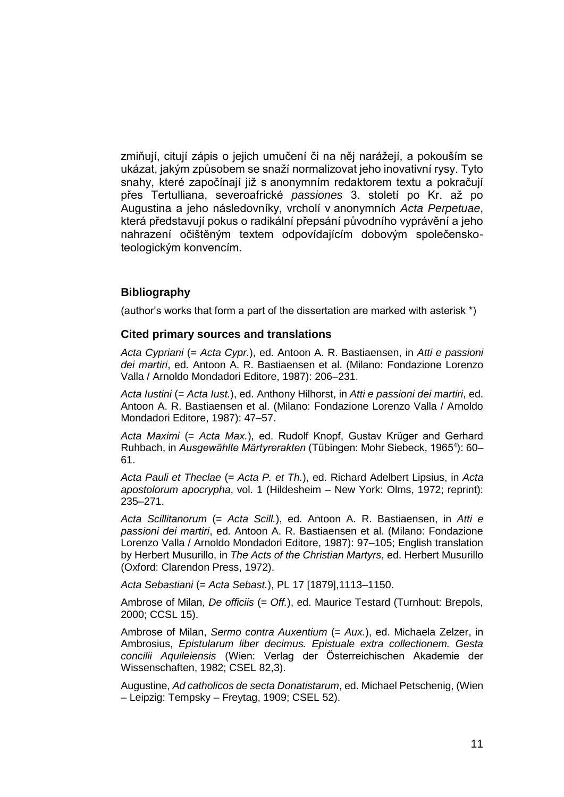zmiňují, citují zápis o jejich umučení či na něj narážejí, a pokouším se ukázat, jakým způsobem se snaží normalizovat jeho inovativní rysy. Tyto snahy, které započínají již s anonymním redaktorem textu a pokračují přes Tertulliana, severoafrické *passiones* 3. století po Kr. až po Augustina a jeho následovníky, vrcholí v anonymních *Acta Perpetuae*, která představují pokus o radikální přepsání původního vyprávění a jeho nahrazení očištěným textem odpovídajícím dobovým společenskoteologickým konvencím.

## **Bibliography**

(author's works that form a part of the dissertation are marked with asterisk \*)

### **Cited primary sources and translations**

*Acta Cypriani* (= *Acta Cypr.*), ed. Antoon A. R. Bastiaensen, in *Atti e passioni dei martiri*, ed. Antoon A. R. Bastiaensen et al. (Milano: Fondazione Lorenzo Valla / Arnoldo Mondadori Editore, 1987): 206–231.

*Acta Iustini* (= *Acta Iust.*), ed. Anthony Hilhorst, in *Atti e passioni dei martiri*, ed. Antoon A. R. Bastiaensen et al. (Milano: Fondazione Lorenzo Valla / Arnoldo Mondadori Editore, 1987): 47–57.

*Acta Maximi* (= *Acta Max.*), ed. Rudolf Knopf, Gustav Krüger and Gerhard Ruhbach, in *Ausgewählte Märtyrerakten* (Tübingen: Mohr Siebeck, 1965<sup>4</sup> ): 60– 61.

*Acta Pauli et Theclae* (= *Acta P. et Th.*), ed. Richard Adelbert Lipsius, in *Acta apostolorum apocrypha*, vol. 1 (Hildesheim – New York: Olms, 1972; reprint): 235–271.

*Acta Scillitanorum* (= *Acta Scill.*), ed. Antoon A. R. Bastiaensen, in *Atti e passioni dei martiri*, ed. Antoon A. R. Bastiaensen et al. (Milano: Fondazione Lorenzo Valla / Arnoldo Mondadori Editore, 1987): 97–105; English translation by Herbert Musurillo, in *The Acts of the Christian Martyrs*, ed. Herbert Musurillo (Oxford: Clarendon Press, 1972).

*Acta Sebastiani* (= *Acta Sebast.*), PL 17 [1879],1113–1150.

Ambrose of Milan, *De officiis* (= *Off.*), ed. Maurice Testard (Turnhout: Brepols, 2000; CCSL 15).

Ambrose of Milan, *Sermo contra Auxentium* (= *Aux.*), ed. Michaela Zelzer, in Ambrosius, *Epistularum liber decimus. Epistuale extra collectionem. Gesta concilii Aquileiensis* (Wien: Verlag der Österreichischen Akademie der Wissenschaften, 1982; CSEL 82,3).

Augustine, *Ad catholicos de secta Donatistarum*, ed. Michael Petschenig, (Wien – Leipzig: Tempsky – Freytag, 1909; CSEL 52).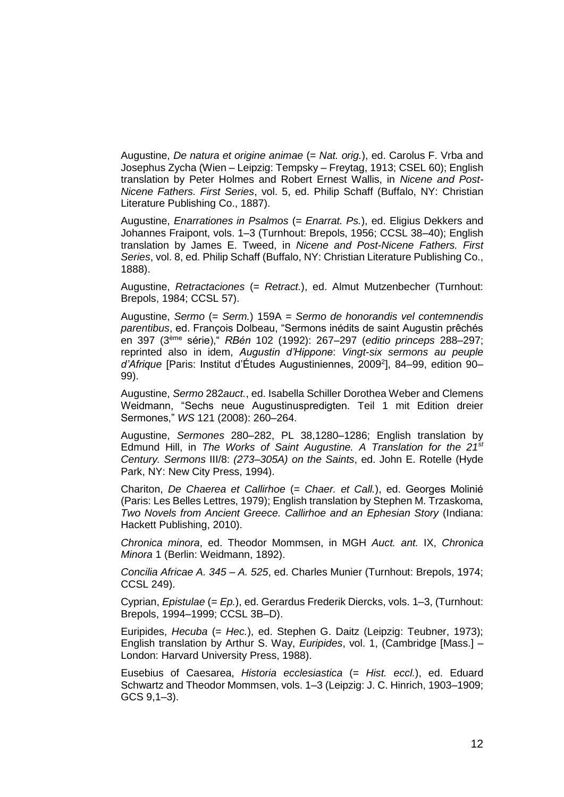Augustine, *De natura et origine animae* (= *Nat. orig.*), ed. Carolus F. Vrba and Josephus Zycha (Wien – Leipzig: Tempsky – Freytag, 1913; CSEL 60); English translation by Peter Holmes and Robert Ernest Wallis, in *Nicene and Post-Nicene Fathers. First Series*, vol. 5, ed. Philip Schaff (Buffalo, NY: Christian Literature Publishing Co., 1887).

Augustine, *Enarrationes in Psalmos* (= *Enarrat. Ps.*), ed. Eligius Dekkers and Johannes Fraipont, vols. 1–3 (Turnhout: Brepols, 1956; CCSL 38–40); English translation by James E. Tweed, in *Nicene and Post-Nicene Fathers. First Series*, vol. 8, ed. Philip Schaff (Buffalo, NY: Christian Literature Publishing Co., 1888).

Augustine, *Retractaciones* (= *Retract.*), ed. Almut Mutzenbecher (Turnhout: Brepols, 1984; CCSL 57).

Augustine, *Sermo* (= *Serm.*) 159A = *Sermo de honorandis vel contemnendis parentibus*, ed. François Dolbeau, "Sermons inédits de saint Augustin prêchés en 397 (3ème série)," *RBén* 102 (1992): 267–297 (*editio princeps* 288–297; reprinted also in idem, *Augustin d'Hippone*: *Vingt*-*six sermons au peuple*  d'Afrique [Paris: Institut d'Études Augustiniennes, 2009<sup>2</sup>], 84–99, edition 90– 99).

Augustine, *Sermo* 282*auct.*, ed. Isabella Schiller Dorothea Weber and Clemens Weidmann, "Sechs neue Augustinuspredigten. Teil 1 mit Edition dreier Sermones," *WS* 121 (2008): 260–264.

Augustine, *Sermones* 280–282, PL 38,1280–1286; English translation by Edmund Hill, in *The Works of Saint Augustine. A Translation for the 21st Century. Sermons* III/8: *(273–305A) on the Saints*, ed. John E. Rotelle (Hyde Park, NY: New City Press, 1994).

Chariton, *De Chaerea et Callirhoe* (= *Chaer. et Call.*), ed. Georges Molinié (Paris: Les Belles Lettres, 1979); English translation by Stephen M. Trzaskoma, *Two Novels from Ancient Greece. Callirhoe and an Ephesian Story* (Indiana: Hackett Publishing, 2010).

*Chronica minora*, ed. Theodor Mommsen, in MGH *Auct. ant.* IX, *Chronica Minora* 1 (Berlin: Weidmann, 1892).

*Concilia Africae A. 345 – A. 525*, ed. Charles Munier (Turnhout: Brepols, 1974; CCSL 249).

Cyprian, *Epistulae* (= *Ep.*), ed. Gerardus Frederik Diercks, vols. 1–3, (Turnhout: Brepols, 1994–1999; CCSL 3B–D).

Euripides, *Hecuba* (= *Hec.*), ed. Stephen G. Daitz (Leipzig: Teubner, 1973); English translation by Arthur S. Way, *Euripides*, vol. 1, (Cambridge [Mass.] – London: Harvard University Press, 1988).

Eusebius of Caesarea, *Historia ecclesiastica* (= *Hist. eccl.*), ed. Eduard Schwartz and Theodor Mommsen, vols. 1–3 (Leipzig: J. C. Hinrich, 1903–1909; GCS 9,1–3).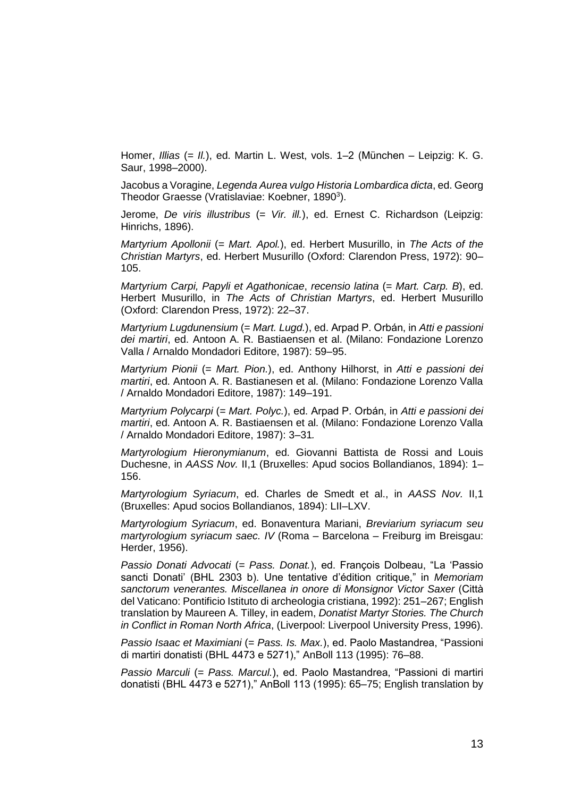Homer, *Illias* (= *Il.*), ed. Martin L. West, vols. 1–2 (München – Leipzig: K. G. Saur, 1998–2000).

Jacobus a Voragine, *Legenda Aurea vulgo Historia Lombardica dicta*, ed. Georg Theodor Graesse (Vratislaviae: Koebner, 1890<sup>3</sup>).

Jerome, *De viris illustribus* (= *Vir. ill.*), ed. Ernest C. Richardson (Leipzig: Hinrichs, 1896).

*Martyrium Apollonii* (= *Mart. Apol.*), ed. Herbert Musurillo, in *The Acts of the Christian Martyrs*, ed. Herbert Musurillo (Oxford: Clarendon Press, 1972): 90– 105.

*Martyrium Carpi, Papyli et Agathonicae*, *recensio latina* (= *Mart. Carp. B*), ed. Herbert Musurillo, in *The Acts of Christian Martyrs*, ed. Herbert Musurillo (Oxford: Clarendon Press, 1972): 22–37.

*Martyrium Lugdunensium* (= *Mart. Lugd.*), ed. Arpad P. Orbán, in *Atti e passioni dei martiri*, ed. Antoon A. R. Bastiaensen et al. (Milano: Fondazione Lorenzo Valla / Arnaldo Mondadori Editore, 1987): 59–95.

*Martyrium Pionii* (= *Mart. Pion.*), ed. Anthony Hilhorst, in *Atti e passioni dei martiri*, ed. Antoon A. R. Bastianesen et al. (Milano: Fondazione Lorenzo Valla / Arnaldo Mondadori Editore, 1987): 149–191.

*Martyrium Polycarpi* (= *Mart. Polyc.*), ed. Arpad P. Orbán, in *Atti e passioni dei martiri*, ed. Antoon A. R. Bastiaensen et al. (Milano: Fondazione Lorenzo Valla / Arnaldo Mondadori Editore, 1987): 3–31*.*

*Martyrologium Hieronymianum*, ed. Giovanni Battista de Rossi and Louis Duchesne, in *AASS Nov.* II,1 (Bruxelles: Apud socios Bollandianos, 1894): 1– 156.

*Martyrologium Syriacum*, ed. Charles de Smedt et al., in *AASS Nov.* II,1 (Bruxelles: Apud socios Bollandianos, 1894): LII–LXV.

*Martyrologium Syriacum*, ed. Bonaventura Mariani, *Breviarium syriacum seu martyrologium syriacum saec. IV* (Roma – Barcelona – Freiburg im Breisgau: Herder, 1956).

*Passio Donati Advocati* (= *Pass. Donat.*), ed. François Dolbeau, "La 'Passio sancti Donati' (BHL 2303 b). Une tentative d'édition critique," in *Memoriam sanctorum venerantes. Miscellanea in onore di Monsignor Victor Saxer* (Città del Vaticano: Pontificio Istituto di archeologia cristiana, 1992): 251–267; English translation by Maureen A. Tilley, in eadem, *Donatist Martyr Stories. The Church in Conflict in Roman North Africa*, (Liverpool: Liverpool University Press, 1996).

*Passio Isaac et Maximiani (= Pass. Is. Max.), ed. Paolo Mastandrea, "Passioni* di martiri donatisti (BHL 4473 e 5271)," AnBoll 113 (1995): 76–88.

*Passio Marculi* (= *Pass. Marcul.*), ed. Paolo Mastandrea, "Passioni di martiri donatisti (BHL 4473 e 5271)," AnBoll 113 (1995): 65–75; English translation by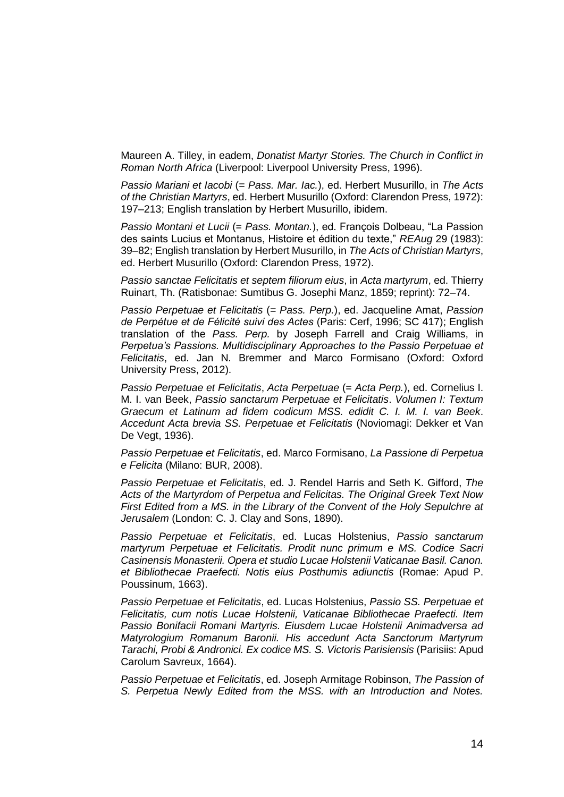Maureen A. Tilley, in eadem, *Donatist Martyr Stories. The Church in Conflict in Roman North Africa* (Liverpool: Liverpool University Press, 1996).

*Passio Mariani et Iacobi* (= *Pass. Mar. Iac.*), ed. Herbert Musurillo, in *The Acts of the Christian Martyrs*, ed. Herbert Musurillo (Oxford: Clarendon Press, 1972): 197–213; English translation by Herbert Musurillo, ibidem.

*Passio Montani et Lucii* (= *Pass. Montan.*), ed. François Dolbeau, "La Passion des saints Lucius et Montanus, Histoire et édition du texte," *REAug* 29 (1983): 39–82; English translation by Herbert Musurillo, in *The Acts of Christian Martyrs*, ed. Herbert Musurillo (Oxford: Clarendon Press, 1972).

*Passio sanctae Felicitatis et septem filiorum eius*, in *Acta martyrum*, ed. Thierry Ruinart, Th. (Ratisbonae: Sumtibus G. Josephi Manz, 1859; reprint): 72–74.

*Passio Perpetuae et Felicitatis* (= *Pass. Perp.*), ed. Jacqueline Amat, *Passion de Perpétue et de Félicité suivi des Actes* (Paris: Cerf, 1996; SC 417); English translation of the *Pass. Perp.* by Joseph Farrell and Craig Williams, in *Perpetua's Passions. Multidisciplinary Approaches to the Passio Perpetuae et Felicitatis*, ed. Jan N. Bremmer and Marco Formisano (Oxford: Oxford University Press, 2012).

*Passio Perpetuae et Felicitatis*, *Acta Perpetuae* (= *Acta Perp.*), ed. Cornelius I. M. I. van Beek, *Passio sanctarum Perpetuae et Felicitatis*. *Volumen I: Textum Graecum et Latinum ad fidem codicum MSS. edidit C. I. M. I. van Beek*. *Accedunt Acta brevia SS. Perpetuae et Felicitatis* (Noviomagi: Dekker et Van De Vegt, 1936).

*Passio Perpetuae et Felicitatis*, ed. Marco Formisano, *La Passione di Perpetua e Felicita* (Milano: BUR, 2008).

*Passio Perpetuae et Felicitatis*, ed. J. Rendel Harris and Seth K. Gifford, *The Acts of the Martyrdom of Perpetua and Felicitas. The Original Greek Text Now First Edited from a MS. in the Library of the Convent of the Holy Sepulchre at Jerusalem* (London: C. J. Clay and Sons, 1890).

*Passio Perpetuae et Felicitatis*, ed. Lucas Holstenius, *Passio sanctarum martyrum Perpetuae et Felicitatis. Prodit nunc primum e MS. Codice Sacri Casinensis Monasterii. Opera et studio Lucae Holstenii Vaticanae Basil. Canon. et Bibliothecae Praefecti. Notis eius Posthumis adiunctis* (Romae: Apud P. Poussinum, 1663).

*Passio Perpetuae et Felicitatis*, ed. Lucas Holstenius, *Passio SS. Perpetuae et Felicitatis, cum notis Lucae Holstenii, Vaticanae Bibliothecae Praefecti. Item Passio Bonifacii Romani Martyris. Eiusdem Lucae Holstenii Animadversa ad Matyrologium Romanum Baronii. His accedunt Acta Sanctorum Martyrum Tarachi, Probi & Andronici. Ex codice MS. S. Victoris Parisiensis* (Parisiis: Apud Carolum Savreux, 1664).

*Passio Perpetuae et Felicitatis*, ed. Joseph Armitage Robinson, *The Passion of S. Perpetua Newly Edited from the MSS. with an Introduction and Notes.*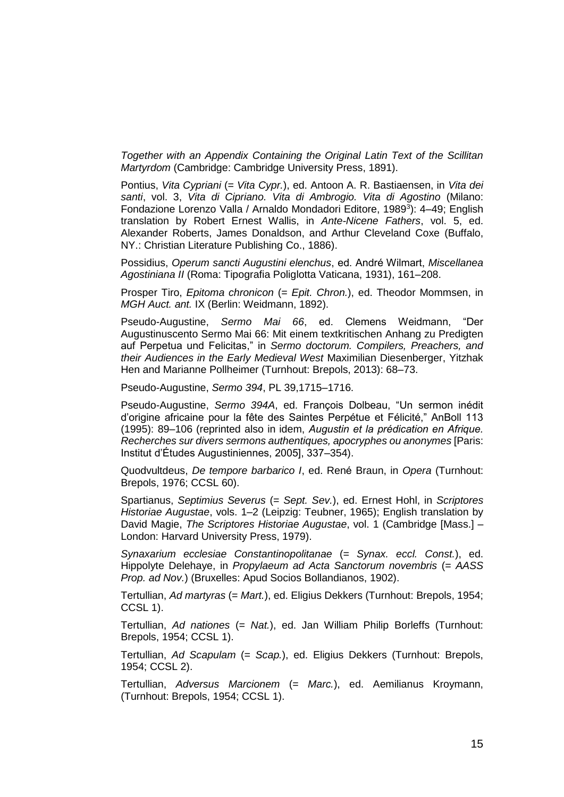*Together with an Appendix Containing the Original Latin Text of the Scillitan Martyrdom* (Cambridge: Cambridge University Press, 1891).

Pontius, *Vita Cypriani* (= *Vita Cypr.*), ed. Antoon A. R. Bastiaensen, in *Vita dei santi*, vol. 3, *Vita di Cipriano. Vita di Ambrogio. Vita di Agostino* (Milano: Fondazione Lorenzo Valla / Arnaldo Mondadori Editore, 1989<sup>3</sup>): 4-49; English translation by Robert Ernest Wallis, in *Ante-Nicene Fathers*, vol. 5, ed. Alexander Roberts, James Donaldson, and Arthur Cleveland Coxe (Buffalo, NY.: Christian Literature Publishing Co., 1886).

Possidius, *Operum sancti Augustini elenchus*, ed. André Wilmart, *Miscellanea Agostiniana II* (Roma: Tipografia Poliglotta Vaticana, 1931), 161–208.

Prosper Tiro, *Epitoma chronicon* (= *Epit. Chron.*), ed. Theodor Mommsen, in *MGH Auct. ant.* IX (Berlin: Weidmann, 1892).

Pseudo-Augustine, *Sermo Mai 66*, ed. Clemens Weidmann, "Der Augustinuscento Sermo Mai 66: Mit einem textkritischen Anhang zu Predigten auf Perpetua und Felicitas," in *Sermo doctorum. Compilers, Preachers, and their Audiences in the Early Medieval West* Maximilian Diesenberger, Yitzhak Hen and Marianne Pollheimer (Turnhout: Brepols, 2013): 68–73.

Pseudo-Augustine, *Sermo 394*, PL 39,1715–1716.

Pseudo-Augustine, *Sermo 394A*, ed. François Dolbeau, "Un sermon inédit d'origine africaine pour la fête des Saintes Perpétue et Félicité," AnBoll 113 (1995): 89–106 (reprinted also in idem, *Augustin et la prédication en Afrique. Recherches sur divers sermons authentiques, apocryphes ou anonymes* [Paris: Institut d'Études Augustiniennes, 2005], 337–354).

Quodvultdeus, *De tempore barbarico I*, ed. René Braun, in *Opera* (Turnhout: Brepols, 1976; CCSL 60).

Spartianus, *Septimius Severus* (= *Sept. Sev.*), ed. Ernest Hohl, in *Scriptores Historiae Augustae*, vols. 1–2 (Leipzig: Teubner, 1965); English translation by David Magie, *The Scriptores Historiae Augustae*, vol. 1 (Cambridge [Mass.] – London: Harvard University Press, 1979).

*Synaxarium ecclesiae Constantinopolitanae* (= *Synax. eccl. Const.*), ed. Hippolyte Delehaye, in *Propylaeum ad Acta Sanctorum novembris* (= *AASS Prop. ad Nov.*) (Bruxelles: Apud Socios Bollandianos, 1902).

Tertullian, *Ad martyras* (= *Mart.*), ed. Eligius Dekkers (Turnhout: Brepols, 1954; CCSL 1).

Tertullian, *Ad nationes* (= *Nat.*), ed. Jan William Philip Borleffs (Turnhout: Brepols, 1954; CCSL 1).

Tertullian, *Ad Scapulam* (= *Scap.*), ed. Eligius Dekkers (Turnhout: Brepols, 1954; CCSL 2).

Tertullian, *Adversus Marcionem* (= *Marc.*), ed. Aemilianus Kroymann, (Turnhout: Brepols, 1954; CCSL 1).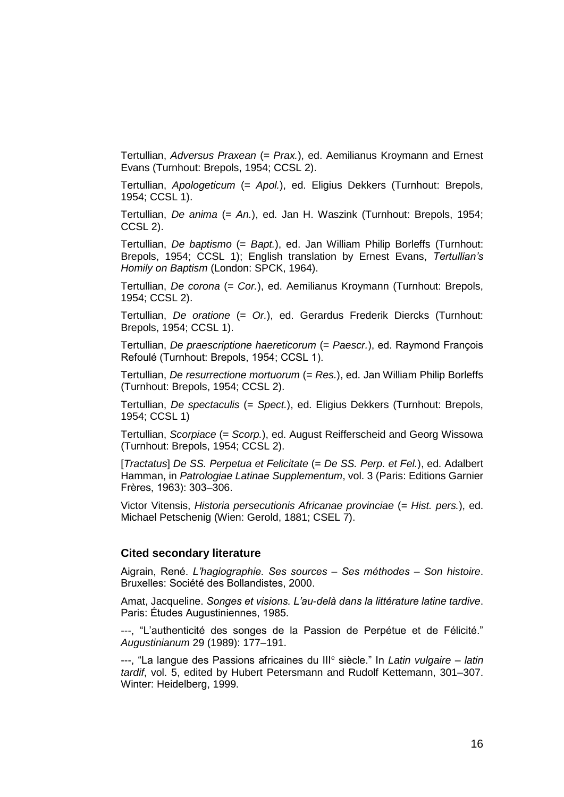Tertullian, *Adversus Praxean* (= *Prax.*), ed. Aemilianus Kroymann and Ernest Evans (Turnhout: Brepols, 1954; CCSL 2).

Tertullian, *Apologeticum* (= *Apol.*), ed. Eligius Dekkers (Turnhout: Brepols, 1954; CCSL 1).

Tertullian, *De anima* (= *An.*), ed. Jan H. Waszink (Turnhout: Brepols, 1954; CCSL 2).

Tertullian, *De baptismo* (= *Bapt.*), ed. Jan William Philip Borleffs (Turnhout: Brepols, 1954; CCSL 1); English translation by Ernest Evans, *Tertullian's Homily on Baptism* (London: SPCK, 1964).

Tertullian, *De corona* (= *Cor.*), ed. Aemilianus Kroymann (Turnhout: Brepols, 1954; CCSL 2).

Tertullian, *De oratione* (= *Or.*), ed. Gerardus Frederik Diercks (Turnhout: Brepols, 1954; CCSL 1).

Tertullian, *De praescriptione haereticorum* (= *Paescr.*), ed. Raymond François Refoulé (Turnhout: Brepols, 1954; CCSL 1).

Tertullian, *De resurrectione mortuorum* (= *Res.*), ed. Jan William Philip Borleffs (Turnhout: Brepols, 1954; CCSL 2).

Tertullian, *De spectaculis* (= *Spect.*), ed. Eligius Dekkers (Turnhout: Brepols, 1954; CCSL 1)

Tertullian, *Scorpiace* (= *Scorp.*), ed. August Reifferscheid and Georg Wissowa (Turnhout: Brepols, 1954; CCSL 2).

[*Tractatus*] *De SS. Perpetua et Felicitate* (= *De SS. Perp. et Fel.*), ed. Adalbert Hamman, in *Patrologiae Latinae Supplementum*, vol. 3 (Paris: Editions Garnier Frères, 1963): 303–306.

Victor Vitensis, *Historia persecutionis Africanae provinciae* (= *Hist. pers.*), ed. Michael Petschenig (Wien: Gerold, 1881; CSEL 7).

#### **Cited secondary literature**

Aigrain, René. *L'hagiographie. Ses sources – Ses méthodes – Son histoire*. Bruxelles: Société des Bollandistes, 2000.

Amat, Jacqueline. *Songes et visions. L'au-delà dans la littérature latine tardive*. Paris: Études Augustiniennes, 1985.

---, "L'authenticité des songes de la Passion de Perpétue et de Félicité." *Augustinianum* 29 (1989): 177–191.

---, "La langue des Passions africaines du III<sup>e</sup> siècle." In *Latin vulgaire – latin tardif*, vol. 5, edited by Hubert Petersmann and Rudolf Kettemann, 301–307. Winter: Heidelberg, 1999.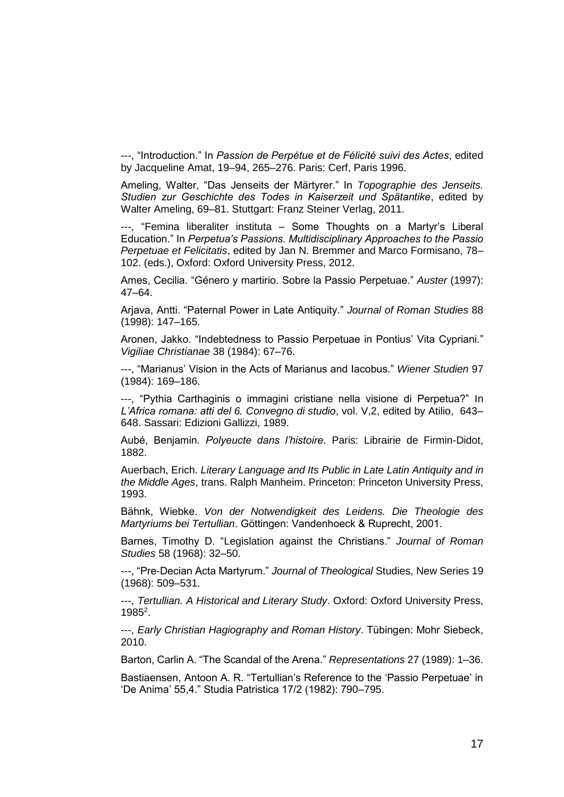---, "Introduction." In *Passion de Perpétue et de Félicité suivi des Actes*, edited by Jacqueline Amat, 19–94, 265–276. Paris: Cerf, Paris 1996.

Ameling, Walter, "Das Jenseits der Märtyrer." In *Topographie des Jenseits. Studien zur Geschichte des Todes in Kaiserzeit und Spätantike*, edited by Walter Ameling, 69–81. Stuttgart: Franz Steiner Verlag, 2011.

---, "Femina liberaliter instituta – Some Thoughts on a Martyr's Liberal Education." In *Perpetua's Passions. Multidisciplinary Approaches to the Passio Perpetuae et Felicitatis*, edited by Jan N. Bremmer and Marco Formisano, 78– 102. (eds.), Oxford: Oxford University Press, 2012.

Ames, Cecilia. "Género y martirio. Sobre la Passio Perpetuae." *Auster* (1997): 47–64.

Arjava, Antti. "Paternal Power in Late Antiquity." *Journal of Roman Studies* 88 (1998): 147–165.

Aronen, Jakko. "Indebtedness to Passio Perpetuae in Pontius' Vita Cypriani." *Vigiliae Christianae* 38 (1984): 67–76.

---, "Marianus' Vision in the Acts of Marianus and Iacobus." *Wiener Studien* 97 (1984): 169–186.

---, "Pythia Carthaginis o immagini cristiane nella visione di Perpetua?" In *L'Africa romana: atti del 6. Convegno di studio*, vol. V,2, edited by Atilio, 643– 648. Sassari: Edizioni Gallizzi, 1989.

Aubé, Benjamin. *Polyeucte dans l'histoire*. Paris: Librairie de Firmin-Didot, 1882.

Auerbach, Erich. *Literary Language and Its Public in Late Latin Antiquity and in the Middle Ages*, trans. Ralph Manheim. Princeton: Princeton University Press, 1993.

Bähnk, Wiebke. *Von der Notwendigkeit des Leidens. Die Theologie des Martyriums bei Tertullian*. Göttingen: Vandenhoeck & Ruprecht, 2001.

Barnes, Timothy D. "Legislation against the Christians." *Journal of Roman Studies* 58 (1968): 32–50.

---, "Pre-Decian Acta Martyrum." *Journal of Theological* Studies, New Series 19 (1968): 509–531.

---, *Tertullian. A Historical and Literary Study*. Oxford: Oxford University Press, 1985<sup>2</sup>.

---, *Early Christian Hagiography and Roman History*. Tübingen: Mohr Siebeck, 2010.

Barton, Carlin A. "The Scandal of the Arena." *Representations* 27 (1989): 1–36.

Bastiaensen, Antoon A. R. "Tertullian's Reference to the 'Passio Perpetuae' in 'De Anima' 55,4." Studia Patristica 17/2 (1982): 790–795.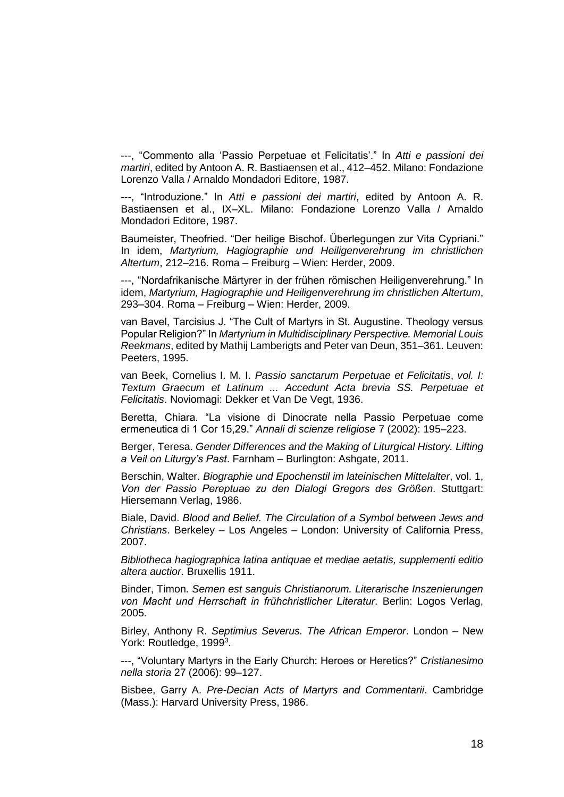---, "Commento alla 'Passio Perpetuae et Felicitatis'." In *Atti e passioni dei martiri*, edited by Antoon A. R. Bastiaensen et al., 412–452. Milano: Fondazione Lorenzo Valla / Arnaldo Mondadori Editore, 1987.

---, "Introduzione." In *Atti e passioni dei martiri*, edited by Antoon A. R. Bastiaensen et al., IX–XL. Milano: Fondazione Lorenzo Valla / Arnaldo Mondadori Editore, 1987.

Baumeister, Theofried. "Der heilige Bischof. Überlegungen zur Vita Cypriani." In idem, *Martyrium, Hagiographie und Heiligenverehrung im christlichen Altertum*, 212–216. Roma – Freiburg – Wien: Herder, 2009.

---, "Nordafrikanische Märtyrer in der frühen römischen Heiligenverehrung." In idem, *Martyrium, Hagiographie und Heiligenverehrung im christlichen Altertum*, 293–304. Roma – Freiburg – Wien: Herder, 2009.

van Bavel, Tarcisius J. "The Cult of Martyrs in St. Augustine. Theology versus Popular Religion?" In *Martyrium in Multidisciplinary Perspective. Memorial Louis Reekmans*, edited by Mathij Lamberigts and Peter van Deun, 351–361. Leuven: Peeters, 1995.

van Beek, Cornelius I. M. I. *Passio sanctarum Perpetuae et Felicitatis*, *vol. I: Textum Graecum et Latinum ... Accedunt Acta brevia SS. Perpetuae et Felicitatis*. Noviomagi: Dekker et Van De Vegt, 1936.

Beretta, Chiara. "La visione di Dinocrate nella Passio Perpetuae come ermeneutica di 1 Cor 15,29." *Annali di scienze religiose* 7 (2002): 195–223.

Berger, Teresa. *Gender Differences and the Making of Liturgical History. Lifting a Veil on Liturgy's Past*. Farnham – Burlington: Ashgate, 2011.

Berschin, Walter. *Biographie und Epochenstil im lateinischen Mittelalter*, vol. 1, *Von der Passio Pereptuae zu den Dialogi Gregors des Größen*. Stuttgart: Hiersemann Verlag, 1986.

Biale, David. *Blood and Belief. The Circulation of a Symbol between Jews and Christians*. Berkeley – Los Angeles – London: University of California Press, 2007.

*Bibliotheca hagiographica latina antiquae et mediae aetatis, supplementi editio altera auctior*. Bruxellis 1911.

Binder, Timon. *Semen est sanguis Christianorum. Literarische Inszenierungen von Macht und Herrschaft in frühchristlicher Literatur*. Berlin: Logos Verlag, 2005.

Birley, Anthony R. *Septimius Severus. The African Emperor*. London – New York: Routledge, 1999<sup>3</sup>.

---, "Voluntary Martyrs in the Early Church: Heroes or Heretics?" *Cristianesimo nella storia* 27 (2006): 99–127.

Bisbee, Garry A. *Pre-Decian Acts of Martyrs and Commentarii*. Cambridge (Mass.): Harvard University Press, 1986.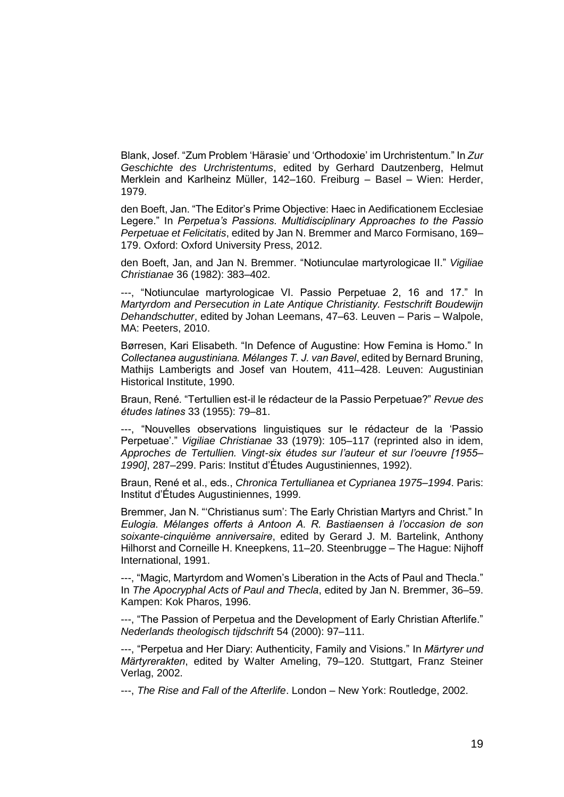Blank, Josef. "Zum Problem 'Härasie' und 'Orthodoxie' im Urchristentum." In *Zur Geschichte des Urchristentums*, edited by Gerhard Dautzenberg, Helmut Merklein and Karlheinz Müller, 142–160. Freiburg – Basel – Wien: Herder, 1979.

den Boeft, Jan. "The Editor's Prime Objective: Haec in Aedificationem Ecclesiae Legere." In *Perpetua's Passions. Multidisciplinary Approaches to the Passio Perpetuae et Felicitatis*, edited by Jan N. Bremmer and Marco Formisano, 169– 179. Oxford: Oxford University Press, 2012.

den Boeft, Jan, and Jan N. Bremmer. "Notiunculae martyrologicae II." *Vigiliae Christianae* 36 (1982): 383–402.

---, "Notiunculae martyrologicae VI. Passio Perpetuae 2, 16 and 17." In *Martyrdom and Persecution in Late Antique Christianity. Festschrift Boudewijn Dehandschutter*, edited by Johan Leemans, 47–63. Leuven – Paris – Walpole, MA: Peeters, 2010.

Børresen, Kari Elisabeth. "In Defence of Augustine: How Femina is Homo." In *Collectanea augustiniana. Mélanges T. J. van Bavel*, edited by Bernard Bruning, Mathijs Lamberigts and Josef van Houtem, 411–428. Leuven: Augustinian Historical Institute, 1990.

Braun, René. "Tertullien est-il le rédacteur de la Passio Perpetuae?" *Revue des études latines* 33 (1955): 79–81.

---, "Nouvelles observations linguistiques sur le rédacteur de la 'Passio Perpetuae'." *Vigiliae Christianae* 33 (1979): 105–117 (reprinted also in idem, *Approches de Tertullien. Vingt-six études sur l'auteur et sur l'oeuvre [1955– 1990]*, 287–299. Paris: Institut d'Études Augustiniennes, 1992).

Braun, René et al., eds., *Chronica Tertullianea et Cyprianea 1975–1994*. Paris: Institut d'Études Augustiniennes, 1999.

Bremmer, Jan N. "'Christianus sum': The Early Christian Martyrs and Christ." In *Eulogia. Mélanges offerts à Antoon A. R. Bastiaensen à l'occasion de son soixante-cinquième anniversaire*, edited by Gerard J. M. Bartelink, Anthony Hilhorst and Corneille H. Kneepkens, 11–20. Steenbrugge – The Hague: Nijhoff International, 1991.

---, "Magic, Martyrdom and Women's Liberation in the Acts of Paul and Thecla." In *The Apocryphal Acts of Paul and Thecla*, edited by Jan N. Bremmer, 36–59. Kampen: Kok Pharos, 1996.

---, "The Passion of Perpetua and the Development of Early Christian Afterlife." *Nederlands theologisch tijdschrift* 54 (2000): 97–111.

---, "Perpetua and Her Diary: Authenticity, Family and Visions." In *Märtyrer und Märtyrerakten*, edited by Walter Ameling, 79–120. Stuttgart, Franz Steiner Verlag, 2002.

---, *The Rise and Fall of the Afterlife*. London – New York: Routledge, 2002.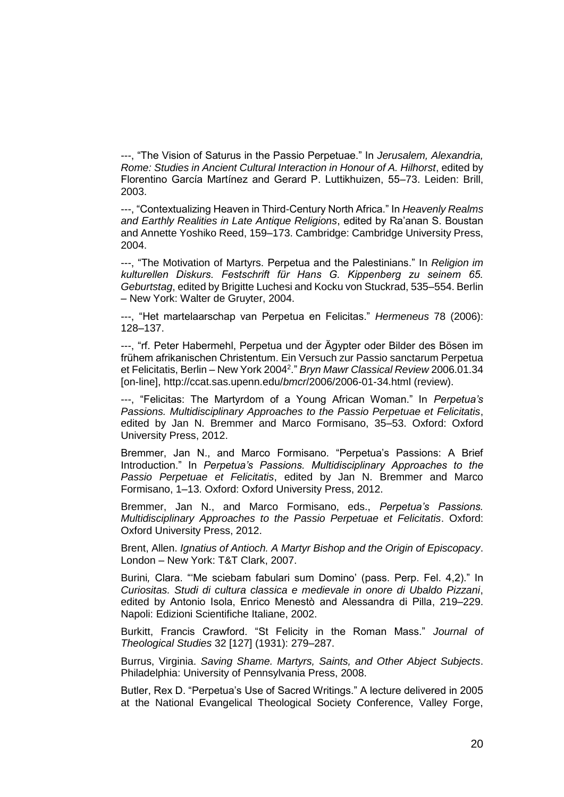---, "The Vision of Saturus in the Passio Perpetuae." In *Jerusalem, Alexandria, Rome: Studies in Ancient Cultural Interaction in Honour of A. Hilhorst*, edited by Florentino García Martínez and Gerard P. Luttikhuizen, 55–73. Leiden: Brill, 2003.

---, "Contextualizing Heaven in Third-Century North Africa." In *Heavenly Realms and Earthly Realities in Late Antique Religions*, edited by Ra'anan S. Boustan and Annette Yoshiko Reed, 159–173. Cambridge: Cambridge University Press, 2004.

---, "The Motivation of Martyrs. Perpetua and the Palestinians." In *Religion im kulturellen Diskurs. Festschrift für Hans G. Kippenberg zu seinem 65. Geburtstag*, edited by Brigitte Luchesi and Kocku von Stuckrad, 535–554. Berlin – New York: Walter de Gruyter, 2004.

---, "Het martelaarschap van Perpetua en Felicitas." *Hermeneus* 78 (2006): 128‒137.

---, "rf. Peter Habermehl, Perpetua und der Ägypter oder Bilder des Bösen im frühem afrikanischen Christentum. Ein Versuch zur Passio sanctarum Perpetua et Felicitatis, Berlin – New York 2004<sup>2</sup> ." *Bryn Mawr Classical Review* 2006.01.34 [on-line], http://ccat.sas.upenn.edu/*bmcr*/2006/2006-01-34.html (review).

---, "Felicitas: The Martyrdom of a Young African Woman." In *Perpetua's Passions. Multidisciplinary Approaches to the Passio Perpetuae et Felicitatis*, edited by Jan N. Bremmer and Marco Formisano, 35–53. Oxford: Oxford University Press, 2012.

Bremmer, Jan N., and Marco Formisano. "Perpetua's Passions: A Brief Introduction." In *Perpetua's Passions. Multidisciplinary Approaches to the Passio Perpetuae et Felicitatis*, edited by Jan N. Bremmer and Marco Formisano, 1–13. Oxford: Oxford University Press, 2012.

Bremmer, Jan N., and Marco Formisano, eds., *Perpetua's Passions. Multidisciplinary Approaches to the Passio Perpetuae et Felicitatis*. Oxford: Oxford University Press, 2012.

Brent, Allen. *Ignatius of Antioch. A Martyr Bishop and the Origin of Episcopacy*. London – New York: T&T Clark, 2007.

Burini*,* Clara. "'Me sciebam fabulari sum Domino' (pass. Perp. Fel. 4,2)." In *Curiositas. Studi di cultura classica e medievale in onore di Ubaldo Pizzani*, edited by Antonio Isola, Enrico Menestò and Alessandra di Pilla, 219–229. Napoli: Edizioni Scientifiche Italiane, 2002.

Burkitt, Francis Crawford. "St Felicity in the Roman Mass." *Journal of Theological Studies* 32 [127] (1931): 279–287.

Burrus, Virginia. *Saving Shame. Martyrs, Saints, and Other Abject Subjects*. Philadelphia: University of Pennsylvania Press, 2008.

Butler, Rex D. "Perpetua's Use of Sacred Writings." A lecture delivered in 2005 at the National Evangelical Theological Society Conference, Valley Forge,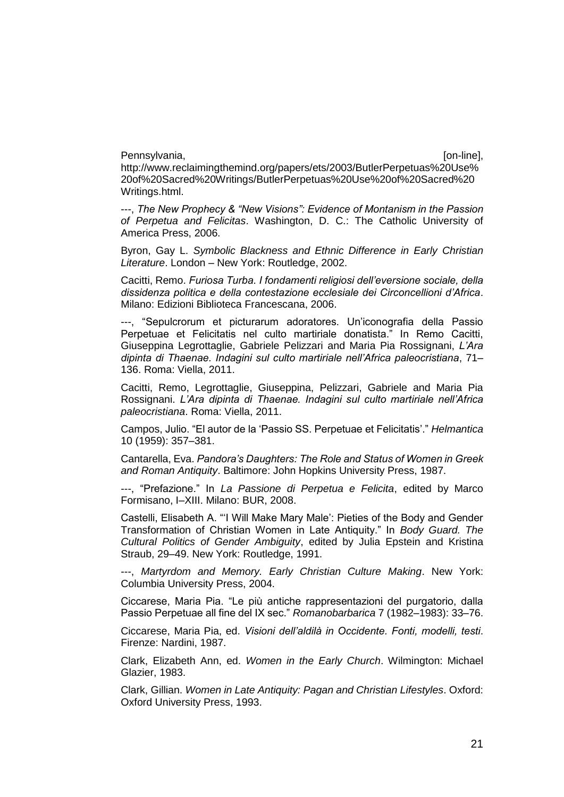Pennsylvania, and the contract of the contract of the contract of the contract of the contract of the contract of the contract of the contract of the contract of the contract of the contract of the contract of the contract

http://www.reclaimingthemind.org/papers/ets/2003/ButlerPerpetuas%20Use% 20of%20Sacred%20Writings/ButlerPerpetuas%20Use%20of%20Sacred%20 Writings.html.

---, *The New Prophecy & "New Visions": Evidence of Montanism in the Passion of Perpetua and Felicitas*. Washington, D. C.: The Catholic University of America Press, 2006.

Byron, Gay L. *Symbolic Blackness and Ethnic Difference in Early Christian Literature*. London – New York: Routledge, 2002.

Cacitti, Remo. *Furiosa Turba. I fondamenti religiosi dell'eversione sociale, della dissidenza politica e della contestazione ecclesiale dei Circoncellioni d'Africa*. Milano: Edizioni Biblioteca Francescana, 2006.

---, "Sepulcrorum et picturarum adoratores. Un'iconografia della Passio Perpetuae et Felicitatis nel culto martiriale donatista." In Remo Cacitti, Giuseppina Legrottaglie, Gabriele Pelizzari and Maria Pia Rossignani, *L'Ara dipinta di Thaenae. Indagini sul culto martiriale nell'Africa paleocristiana*, 71– 136. Roma: Viella, 2011.

Cacitti, Remo, Legrottaglie, Giuseppina, Pelizzari, Gabriele and Maria Pia Rossignani. *L'Ara dipinta di Thaenae. Indagini sul culto martiriale nell'Africa paleocristiana*. Roma: Viella, 2011.

Campos, Julio. "El autor de la 'Passio SS. Perpetuae et Felicitatis'." *Helmantica*  10 (1959): 357–381.

Cantarella, Eva. *Pandora's Daughters: The Role and Status of Women in Greek and Roman Antiquity*. Baltimore: John Hopkins University Press, 1987.

---, "Prefazione." In *La Passione di Perpetua e Felicita*, edited by Marco Formisano, I–XIII. Milano: BUR, 2008.

Castelli, Elisabeth A. "'I Will Make Mary Male': Pieties of the Body and Gender Transformation of Christian Women in Late Antiquity." In *Body Guard. The Cultural Politics of Gender Ambiguity*, edited by Julia Epstein and Kristina Straub, 29–49. New York: Routledge, 1991.

---, *Martyrdom and Memory. Early Christian Culture Making*. New York: Columbia University Press, 2004.

Ciccarese, Maria Pia. "Le più antiche rappresentazioni del purgatorio, dalla Passio Perpetuae all fine del IX sec." *Romanobarbarica* 7 (1982–1983): 33–76.

Ciccarese, Maria Pia, ed. *Visioni dell'aldilà in Occidente. Fonti, modelli, testi*. Firenze: Nardini, 1987.

Clark, Elizabeth Ann, ed. *Women in the Early Church*. Wilmington: Michael Glazier, 1983.

Clark, Gillian. *Women in Late Antiquity: Pagan and Christian Lifestyles*. Oxford: Oxford University Press, 1993.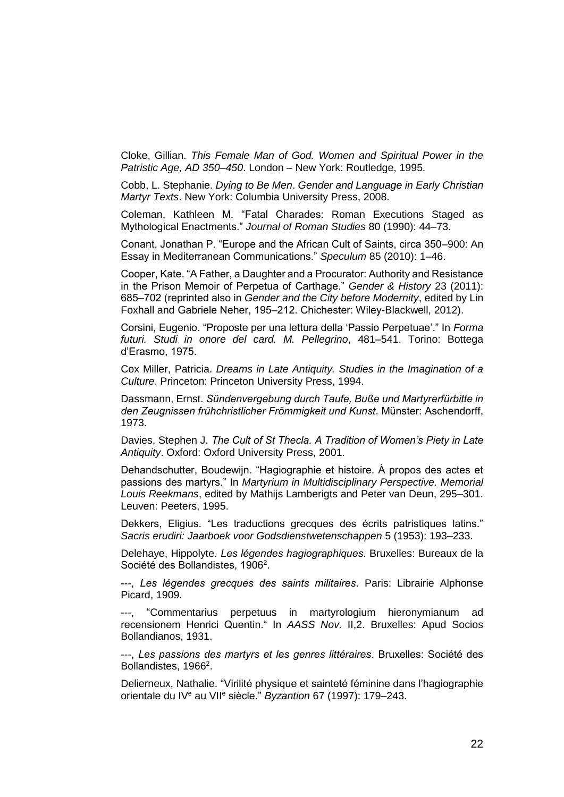Cloke, Gillian. *This Female Man of God. Women and Spiritual Power in the Patristic Age, AD 350–450*. London – New York: Routledge, 1995.

Cobb, L. Stephanie. *Dying to Be Men*. *Gender and Language in Early Christian Martyr Texts*. New York: Columbia University Press, 2008.

Coleman, Kathleen M. "Fatal Charades: Roman Executions Staged as Mythological Enactments." *Journal of Roman Studies* 80 (1990): 44–73.

Conant, Jonathan P. "Europe and the African Cult of Saints, circa 350–900: An Essay in Mediterranean Communications." *Speculum* 85 (2010): 1–46.

Cooper, Kate. "A Father, a Daughter and a Procurator: Authority and Resistance in the Prison Memoir of Perpetua of Carthage." *Gender & History* 23 (2011): 685‒702 (reprinted also in *Gender and the City before Modernity*, edited by Lin Foxhall and Gabriele Neher, 195-212. Chichester: Wiley-Blackwell, 2012).

Corsini, Eugenio. "Proposte per una lettura della 'Passio Perpetuae'." In *Forma futuri. Studi in onore del card. M. Pellegrino*, 481–541. Torino: Bottega d'Erasmo, 1975.

Cox Miller, Patricia. *Dreams in Late Antiquity. Studies in the Imagination of a Culture*. Princeton: Princeton University Press, 1994.

Dassmann, Ernst. *Sündenvergebung durch Taufe, Buße und Martyrerfürbitte in den Zeugnissen frühchristlicher Frömmigkeit und Kunst*. Münster: Aschendorff, 1973.

Davies, Stephen J. *The Cult of St Thecla. A Tradition of Women's Piety in Late Antiquity*. Oxford: Oxford University Press, 2001.

Dehandschutter, Boudewijn. "Hagiographie et histoire. À propos des actes et passions des martyrs." In *Martyrium in Multidisciplinary Perspective. Memorial Louis Reekmans*, edited by Mathijs Lamberigts and Peter van Deun, 295–301. Leuven: Peeters, 1995.

Dekkers, Eligius. "Les traductions grecques des écrits patristiques latins." *Sacris erudiri: Jaarboek voor Godsdienstwetenschappen* 5 (1953): 193–233.

Delehaye, Hippolyte. *Les légendes hagiographiques*. Bruxelles: Bureaux de la Société des Bollandistes, 1906<sup>2</sup>.

---, *Les légendes grecques des saints militaires*. Paris: Librairie Alphonse Picard, 1909.

---, "Commentarius perpetuus in martyrologium hieronymianum ad recensionem Henrici Quentin." In *AASS Nov.* II,2. Bruxelles: Apud Socios Bollandianos, 1931.

---, *Les passions des martyrs et les genres littéraires*. Bruxelles: Société des Bollandistes, 1966<sup>2</sup>.

Delierneux, Nathalie. "Virilité physique et sainteté féminine dans l'hagiographie orientale du IV<sup>e</sup> au VII<sup>e</sup> siècle." *Byzantion* 67 (1997): 179–243.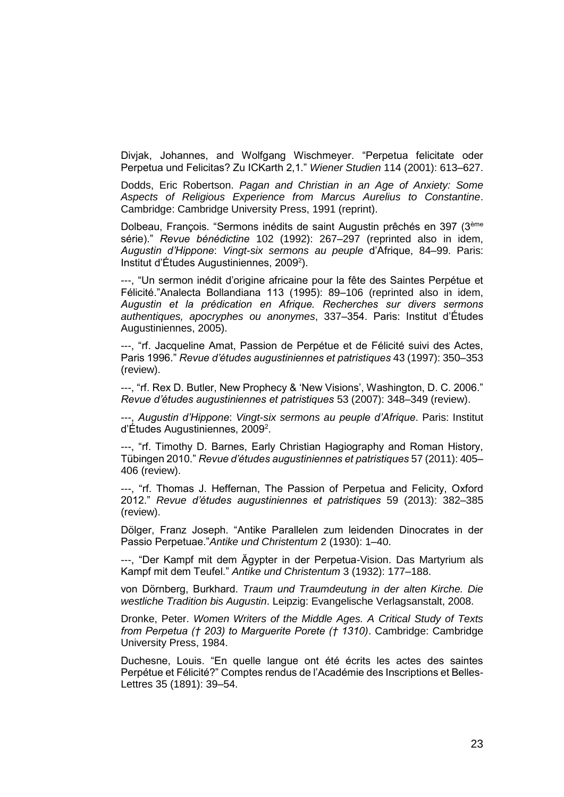Divjak, Johannes, and Wolfgang Wischmeyer. "Perpetua felicitate oder Perpetua und Felicitas? Zu ICKarth 2,1." *Wiener Studien* 114 (2001): 613–627.

Dodds, Eric Robertson. *Pagan and Christian in an Age of Anxiety: Some Aspects of Religious Experience from Marcus Aurelius to Constantine*. Cambridge: Cambridge University Press, 1991 (reprint).

Dolbeau, François. "Sermons inédits de saint Augustin prêchés en 397 (3ème série)." *Revue bénédictine* 102 (1992): 267–297 (reprinted also in idem, *Augustin d'Hippone*: *Vingt*-*six sermons au peuple* d'Afrique, 84–99. Paris: Institut d'Études Augustiniennes, 2009<sup>2</sup>).

---, "Un sermon inédit d'origine africaine pour la fête des Saintes Perpétue et Félicité."Analecta Bollandiana 113 (1995): 89–106 (reprinted also in idem, *Augustin et la prédication en Afrique. Recherches sur divers sermons authentiques, apocryphes ou anonymes*, 337–354. Paris: Institut d'Études Augustiniennes, 2005).

---, "rf. Jacqueline Amat, Passion de Perpétue et de Félicité suivi des Actes, Paris 1996." *Revue d'études augustiniennes et patristiques* 43 (1997): 350–353 (review).

---, "rf. Rex D. Butler, New Prophecy & 'New Visions', Washington, D. C. 2006." *Revue d'études augustiniennes et patristiques* 53 (2007): 348–349 (review).

---, *Augustin d'Hippone*: *Vingt*-*six sermons au peuple d'Afrique*. Paris: Institut d'Études Augustiniennes, 2009<sup>2</sup>.

---, "rf. Timothy D. Barnes, Early Christian Hagiography and Roman History, Tübingen 2010." *Revue d'études augustiniennes et patristiques* 57 (2011): 405– 406 (review).

---, "rf. Thomas J. Heffernan, The Passion of Perpetua and Felicity, Oxford 2012." *Revue d'études augustiniennes et patristiques* 59 (2013): 382–385 (review).

Dölger, Franz Joseph. "Antike Parallelen zum leidenden Dinocrates in der Passio Perpetuae."*Antike und Christentum* 2 (1930): 1–40.

---, "Der Kampf mit dem Ägypter in der Perpetua-Vision. Das Martyrium als Kampf mit dem Teufel." *Antike und Christentum* 3 (1932): 177–188.

von Dörnberg, Burkhard. *Traum und Traumdeutung in der alten Kirche. Die westliche Tradition bis Augustin*. Leipzig: Evangelische Verlagsanstalt, 2008.

Dronke, Peter. *Women Writers of the Middle Ages. A Critical Study of Texts from Perpetua († 203) to Marguerite Porete († 1310)*. Cambridge: Cambridge University Press, 1984.

Duchesne, Louis. "En quelle langue ont été écrits les actes des saintes Perpétue et Félicité?" Comptes rendus de l'Académie des Inscriptions et Belles-Lettres 35 (1891): 39–54.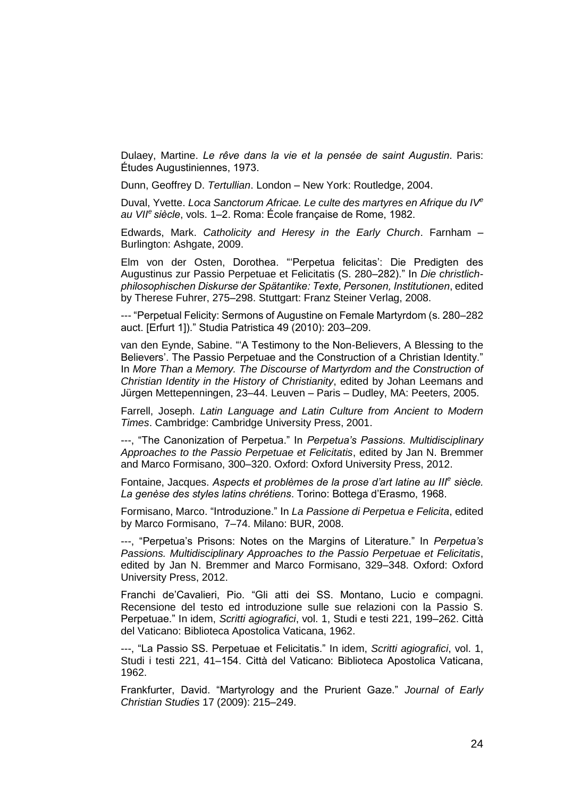Dulaey, Martine. *Le rêve dans la vie et la pensée de saint Augustin*. Paris: Études Augustiniennes, 1973.

Dunn, Geoffrey D. *Tertullian*. London – New York: Routledge, 2004.

Duval, Yvette. *Loca Sanctorum Africae. Le culte des martyres en Afrique du IV<sup>e</sup> au VII<sup>e</sup>siècle*, vols. 1–2. Roma: École française de Rome, 1982.

Edwards, Mark. *Catholicity and Heresy in the Early Church*. Farnham – Burlington: Ashgate, 2009.

Elm von der Osten, Dorothea. "'Perpetua felicitas': Die Predigten des Augustinus zur Passio Perpetuae et Felicitatis (S. 280–282)." In *Die christlichphilosophischen Diskurse der Spätantike: Texte, Personen, Institutionen*, edited by Therese Fuhrer, 275–298. Stuttgart: Franz Steiner Verlag, 2008.

--- "Perpetual Felicity: Sermons of Augustine on Female Martyrdom (s. 280–282 auct. [Erfurt 1])." Studia Patristica 49 (2010): 203–209.

van den Eynde, Sabine. "'A Testimony to the Non-Believers, A Blessing to the Believers'. The Passio Perpetuae and the Construction of a Christian Identity." In *More Than a Memory. The Discourse of Martyrdom and the Construction of Christian Identity in the History of Christianity*, edited by Johan Leemans and Jürgen Mettepenningen, 23–44. Leuven – Paris – Dudley, MA: Peeters, 2005.

Farrell, Joseph. *Latin Language and Latin Culture from Ancient to Modern Times*. Cambridge: Cambridge University Press, 2001.

---, "The Canonization of Perpetua." In *Perpetua's Passions. Multidisciplinary Approaches to the Passio Perpetuae et Felicitatis*, edited by Jan N. Bremmer and Marco Formisano, 300–320. Oxford: Oxford University Press, 2012.

Fontaine, Jacques. *Aspects et problèmes de la prose d'art latine au III<sup>e</sup> siècle. La genèse des styles latins chrétiens*. Torino: Bottega d'Erasmo, 1968.

Formisano, Marco. "Introduzione." In *La Passione di Perpetua e Felicita*, edited by Marco Formisano, 7–74. Milano: BUR, 2008.

---, "Perpetua's Prisons: Notes on the Margins of Literature." In *Perpetua's Passions. Multidisciplinary Approaches to the Passio Perpetuae et Felicitatis*, edited by Jan N. Bremmer and Marco Formisano, 329–348. Oxford: Oxford University Press, 2012.

Franchi de'Cavalieri, Pio. "Gli atti dei SS. Montano, Lucio e compagni. Recensione del testo ed introduzione sulle sue relazioni con la Passio S. Perpetuae." In idem, *Scritti agiografici*, vol. 1, Studi e testi 221, 199–262. Città del Vaticano: Biblioteca Apostolica Vaticana, 1962.

---, "La Passio SS. Perpetuae et Felicitatis." In idem, *Scritti agiografici*, vol. 1, Studi i testi 221, 41–154. Città del Vaticano: Biblioteca Apostolica Vaticana, 1962.

Frankfurter, David. "Martyrology and the Prurient Gaze." *Journal of Early Christian Studies* 17 (2009): 215–249.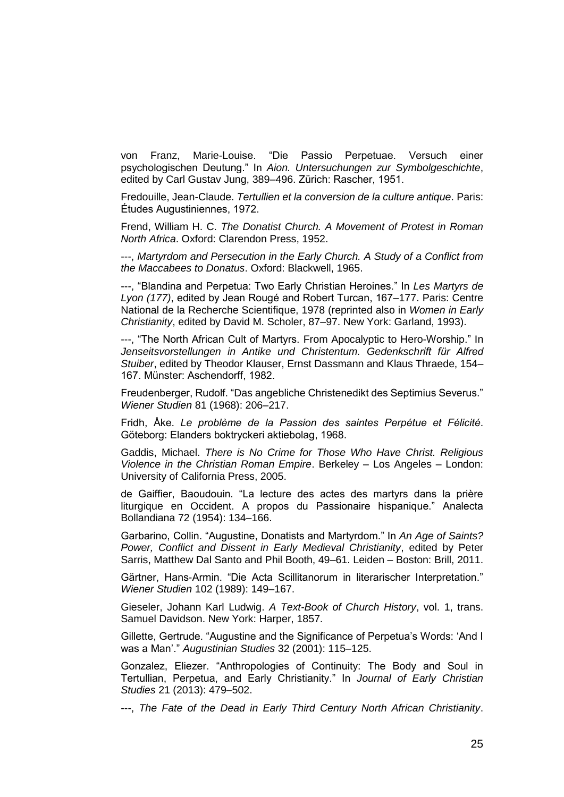von Franz, Marie-Louise. "Die Passio Perpetuae. Versuch einer psychologischen Deutung." In *Aion. Untersuchungen zur Symbolgeschichte*, edited by Carl Gustav Jung, 389–496. Zürich: Rascher, 1951.

Fredouille, Jean-Claude. *Tertullien et la conversion de la culture antique*. Paris: Études Augustiniennes, 1972.

Frend, William H. C. *The Donatist Church. A Movement of Protest in Roman North Africa*. Oxford: Clarendon Press, 1952.

---, *Martyrdom and Persecution in the Early Church. A Study of a Conflict from the Maccabees to Donatus*. Oxford: Blackwell, 1965.

---, "Blandina and Perpetua: Two Early Christian Heroines." In *Les Martyrs de Lyon (177)*, edited by Jean Rougé and Robert Turcan, 167–177. Paris: Centre National de la Recherche Scientifique, 1978 (reprinted also in *Women in Early Christianity*, edited by David M. Scholer, 87–97. New York: Garland, 1993).

---, "The North African Cult of Martyrs. From Apocalyptic to Hero-Worship." In *Jenseitsvorstellungen in Antike und Christentum. Gedenkschrift für Alfred Stuiber*, edited by Theodor Klauser, Ernst Dassmann and Klaus Thraede, 154– 167. Münster: Aschendorff, 1982.

Freudenberger, Rudolf. "Das angebliche Christenedikt des Septimius Severus." *Wiener Studien* 81 (1968): 206–217.

Fridh, Åke. *Le problème de la Passion des saintes Perpétue et Félicité*. Göteborg: Elanders boktryckeri aktiebolag, 1968.

Gaddis, Michael. *There is No Crime for Those Who Have Christ. Religious Violence in the Christian Roman Empire*. Berkeley – Los Angeles – London: University of California Press, 2005.

de Gaiffier, Baoudouin. "La lecture des actes des martyrs dans la prière liturgique en Occident. A propos du Passionaire hispanique." Analecta Bollandiana 72 (1954): 134–166.

Garbarino, Collin. "Augustine, Donatists and Martyrdom." In *An Age of Saints? Power, Conflict and Dissent in Early Medieval Christianity*, edited by Peter Sarris, Matthew Dal Santo and Phil Booth, 49–61. Leiden – Boston: Brill, 2011.

Gärtner, Hans-Armin. "Die Acta Scillitanorum in literarischer Interpretation." *Wiener Studien* 102 (1989): 149–167.

Gieseler, Johann Karl Ludwig. *A Text-Book of Church History*, vol. 1, trans. Samuel Davidson. New York: Harper, 1857.

Gillette, Gertrude. "Augustine and the Significance of Perpetua's Words: 'And I was a Man'." *Augustinian Studies* 32 (2001): 115–125.

Gonzalez, Eliezer. "Anthropologies of Continuity: The Body and Soul in Tertullian, Perpetua, and Early Christianity." In *Journal of Early Christian Studies* 21 (2013): 479–502.

---, *The Fate of the Dead in Early Third Century North African Christianity*.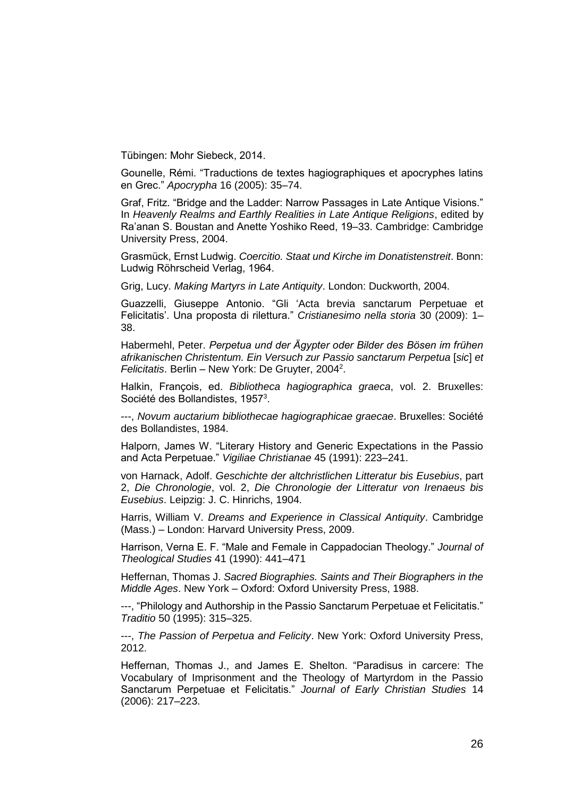Tübingen: Mohr Siebeck, 2014.

Gounelle, Rémi. "Traductions de textes hagiographiques et apocryphes latins en Grec." *Apocrypha* 16 (2005): 35–74.

Graf, Fritz. "Bridge and the Ladder: Narrow Passages in Late Antique Visions." In *Heavenly Realms and Earthly Realities in Late Antique Religions*, edited by Ra'anan S. Boustan and Anette Yoshiko Reed, 19–33. Cambridge: Cambridge University Press, 2004.

Grasmück, Ernst Ludwig. *Coercitio. Staat und Kirche im Donatistenstreit*. Bonn: Ludwig Röhrscheid Verlag, 1964.

Grig, Lucy. *Making Martyrs in Late Antiquity*. London: Duckworth, 2004.

Guazzelli, Giuseppe Antonio. "Gli 'Acta brevia sanctarum Perpetuae et Felicitatis'. Una proposta di rilettura." *Cristianesimo nella storia* 30 (2009): 1– 38.

Habermehl, Peter. *Perpetua und der Ägypter oder Bilder des Bösen im frühen afrikanischen Christentum. Ein Versuch zur Passio sanctarum Perpetua* [*sic*] *et*  Felicitatis. Berlin - New York: De Gruyter, 2004<sup>2</sup>.

Halkin, François, ed. *Bibliotheca hagiographica graeca*, vol. 2. Bruxelles: Société des Bollandistes, 1957<sup>3</sup>.

---, *Novum auctarium bibliothecae hagiographicae graecae*. Bruxelles: Société des Bollandistes, 1984.

Halporn, James W. "Literary History and Generic Expectations in the Passio and Acta Perpetuae." *Vigiliae Christianae* 45 (1991): 223–241.

von Harnack, Adolf. *Geschichte der altchristlichen Litteratur bis Eusebius*, part 2, *Die Chronologie*, vol. 2, *Die Chronologie der Litteratur von Irenaeus bis Eusebius*. Leipzig: J. C. Hinrichs, 1904.

Harris, William V. *Dreams and Experience in Classical Antiquity*. Cambridge (Mass.) – London: Harvard University Press, 2009.

Harrison, Verna E. F. "Male and Female in Cappadocian Theology." *Journal of Theological Studies* 41 (1990): 441–471

Heffernan, Thomas J. *Sacred Biographies. Saints and Their Biographers in the Middle Ages*. New York – Oxford: Oxford University Press, 1988.

---, "Philology and Authorship in the Passio Sanctarum Perpetuae et Felicitatis." *Traditio* 50 (1995): 315–325.

---, *The Passion of Perpetua and Felicity*. New York: Oxford University Press, 2012.

Heffernan, Thomas J., and James E. Shelton. "Paradisus in carcere: The Vocabulary of Imprisonment and the Theology of Martyrdom in the Passio Sanctarum Perpetuae et Felicitatis." *Journal of Early Christian Studies* 14 (2006): 217–223.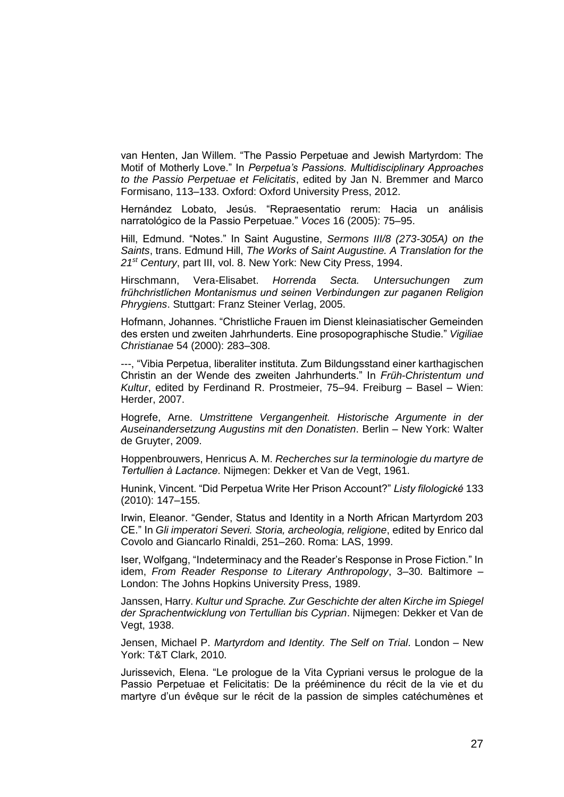van Henten, Jan Willem. "The Passio Perpetuae and Jewish Martyrdom: The Motif of Motherly Love." In *Perpetua's Passions. Multidisciplinary Approaches to the Passio Perpetuae et Felicitatis*, edited by Jan N. Bremmer and Marco Formisano, 113–133. Oxford: Oxford University Press, 2012.

Hernández Lobato, Jesús. "Repraesentatio rerum: Hacia un análisis narratológico de la Passio Perpetuae." *Voces* 16 (2005): 75–95.

Hill, Edmund. "Notes." In Saint Augustine, *Sermons III/8 (273-305A) on the Saints*, trans. Edmund Hill, *The Works of Saint Augustine. A Translation for the 21st Century*, part III, vol. 8. New York: New City Press, 1994.

Hirschmann, Vera-Elisabet. *Horrenda Secta. Untersuchungen zum frühchristlichen Montanismus und seinen Verbindungen zur paganen Religion Phrygiens*. Stuttgart: Franz Steiner Verlag, 2005.

Hofmann, Johannes. "Christliche Frauen im Dienst kleinasiatischer Gemeinden des ersten und zweiten Jahrhunderts. Eine prosopographische Studie." *Vigiliae Christianae* 54 (2000): 283–308.

---, "Vibia Perpetua, liberaliter instituta. Zum Bildungsstand einer karthagischen Christin an der Wende des zweiten Jahrhunderts." In *Früh-Christentum und Kultur*, edited by Ferdinand R. Prostmeier, 75–94. Freiburg – Basel – Wien: Herder, 2007.

Hogrefe, Arne. *Umstrittene Vergangenheit. Historische Argumente in der Auseinandersetzung Augustins mit den Donatisten*. Berlin – New York: Walter de Gruyter, 2009.

Hoppenbrouwers, Henricus A. M. *Recherches sur la terminologie du martyre de Tertullien à Lactance*. Nijmegen: Dekker et Van de Vegt, 1961.

Hunink, Vincent. "Did Perpetua Write Her Prison Account?" *Listy filologické* 133 (2010): 147–155.

Irwin, Eleanor. "Gender, Status and Identity in a North African Martyrdom 203 CE." In *Gli imperatori Severi. Storia, archeologia, religione*, edited by Enrico dal Covolo and Giancarlo Rinaldi, 251–260. Roma: LAS, 1999.

Iser, Wolfgang, "Indeterminacy and the Reader's Response in Prose Fiction." In idem, *From Reader Response to Literary Anthropology*, 3–30. Baltimore – London: The Johns Hopkins University Press, 1989.

Janssen, Harry. *Kultur und Sprache. Zur Geschichte der alten Kirche im Spiegel der Sprachentwicklung von Tertullian bis Cyprian*. Nijmegen: Dekker et Van de Vegt, 1938.

Jensen, Michael P. *Martyrdom and Identity. The Self on Trial*. London – New York: T&T Clark, 2010.

Jurissevich, Elena. "Le prologue de la Vita Cypriani versus le prologue de la Passio Perpetuae et Felicitatis: De la prééminence du récit de la vie et du martyre d'un évêque sur le récit de la passion de simples catéchumènes et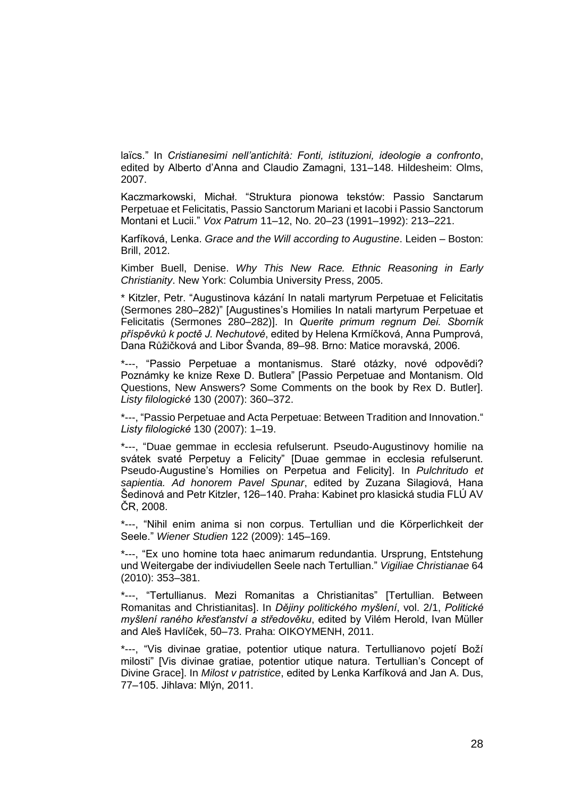laïcs." In *Cristianesimi nell'antichità: Fonti, istituzioni, ideologie a confronto*, edited by Alberto d'Anna and Claudio Zamagni, 131–148. Hildesheim: Olms, 2007.

Kaczmarkowski, Michał. "Struktura pionowa tekstów: Passio Sanctarum Perpetuae et Felicitatis, Passio Sanctorum Mariani et Iacobi i Passio Sanctorum Montani et Lucii." *Vox Patrum* 11–12, No. 20–23 (1991–1992): 213–221.

Karfíková, Lenka. *Grace and the Will according to Augustine*. Leiden – Boston: Brill, 2012.

Kimber Buell, Denise. *Why This New Race. Ethnic Reasoning in Early Christianity*. New York: Columbia University Press, 2005.

\* Kitzler, Petr. "Augustinova kázání In natali martyrum Perpetuae et Felicitatis (Sermones 280–282)" [Augustines's Homilies In natali martyrum Perpetuae et Felicitatis (Sermones 280–282)]. In *Querite primum regnum Dei. Sborník příspěvků k poctě J. Nechutové*, edited by Helena Krmíčková, Anna Pumprová, Dana Růžičková and Libor Švanda, 89–98. Brno: Matice moravská, 2006.

\*---, "Passio Perpetuae a montanismus. Staré otázky, nové odpovědi? Poznámky ke knize Rexe D. Butlera" [Passio Perpetuae and Montanism. Old Questions, New Answers? Some Comments on the book by Rex D. Butler]. *Listy filologické* 130 (2007): 360–372.

\*---, "Passio Perpetuae and Acta Perpetuae: Between Tradition and Innovation." *Listy filologické* 130 (2007): 1–19.

\*---, "Duae gemmae in ecclesia refulserunt. Pseudo-Augustinovy homilie na svátek svaté Perpetuy a Felicity" [Duae gemmae in ecclesia refulserunt. Pseudo-Augustine's Homilies on Perpetua and Felicity]. In *Pulchritudo et sapientia. Ad honorem Pavel Spunar*, edited by Zuzana Silagiová, Hana Šedinová and Petr Kitzler, 126–140. Praha: Kabinet pro klasická studia FLÚ AV ČR, 2008.

\*---, "Nihil enim anima si non corpus. Tertullian und die Körperlichkeit der Seele." *Wiener Studien* 122 (2009): 145–169.

\*---, "Ex uno homine tota haec animarum redundantia. Ursprung, Entstehung und Weitergabe der indiviudellen Seele nach Tertullian." *Vigiliae Christianae* 64 (2010): 353–381.

\*---, "Tertullianus. Mezi Romanitas a Christianitas" [Tertullian. Between Romanitas and Christianitas]. In *Dějiny politického myšlení*, vol. 2/1, *Politické myšlení raného křesťanství a středověku*, edited by Vilém Herold, Ivan Müller and Aleš Havlíček, 50–73. Praha: OIKOYMENH, 2011.

\*---, "Vis divinae gratiae, potentior utique natura. Tertullianovo pojetí Boží milosti" [Vis divinae gratiae, potentior utique natura. Tertullian's Concept of Divine Grace]. In *Milost v patristice*, edited by Lenka Karfíková and Jan A. Dus, 77–105. Jihlava: Mlýn, 2011.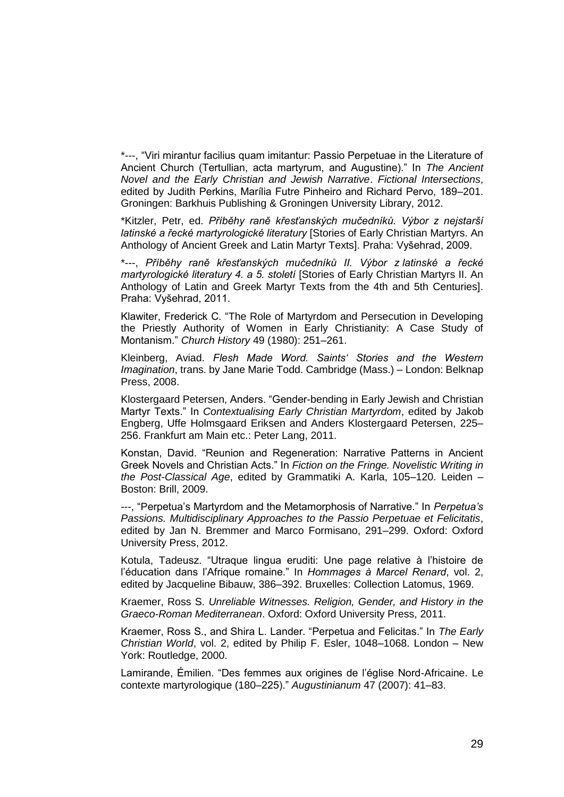\*---, "Viri mirantur facilius quam imitantur: Passio Perpetuae in the Literature of Ancient Church (Tertullian, acta martyrum, and Augustine)." In *The Ancient Novel and the Early Christian and Jewish Narrative*. *Fictional Intersections*, edited by Judith Perkins, Marília Futre Pinheiro and Richard Pervo, 189–201. Groningen: Barkhuis Publishing & Groningen University Library, 2012.

\*Kitzler, Petr, ed. *Příběhy raně křesťanských mučedníků. Výbor z nejstarší latinské a řecké martyrologické literatury* [Stories of Early Christian Martyrs. An Anthology of Ancient Greek and Latin Martyr Texts]. Praha: Vyšehrad, 2009.

\*---, *Příběhy raně křesťanských mučedníků II. Výbor z latinské a řecké martyrologické literatury 4. a 5. století* [Stories of Early Christian Martyrs II. An Anthology of Latin and Greek Martyr Texts from the 4th and 5th Centuries]. Praha: Vyšehrad, 2011.

Klawiter, Frederick C. "The Role of Martyrdom and Persecution in Developing the Priestly Authority of Women in Early Christianity: A Case Study of Montanism." *Church History* 49 (1980): 251–261.

Kleinberg, Aviad. *Flesh Made Word. Saints' Stories and the Western Imagination*, trans. by Jane Marie Todd. Cambridge (Mass.) – London: Belknap Press, 2008.

Klostergaard Petersen, Anders. "Gender-bending in Early Jewish and Christian Martyr Texts." In *Contextualising Early Christian Martyrdom*, edited by Jakob Engberg, Uffe Holmsgaard Eriksen and Anders Klostergaard Petersen, 225– 256. Frankfurt am Main etc.: Peter Lang, 2011.

Konstan, David. "Reunion and Regeneration: Narrative Patterns in Ancient Greek Novels and Christian Acts." In *Fiction on the Fringe. Novelistic Writing in the Post-Classical Age*, edited by Grammatiki A. Karla, 105–120. Leiden – Boston: Brill, 2009.

---, "Perpetua's Martyrdom and the Metamorphosis of Narrative." In *Perpetua's Passions. Multidisciplinary Approaches to the Passio Perpetuae et Felicitatis*, edited by Jan N. Bremmer and Marco Formisano, 291–299. Oxford: Oxford University Press, 2012.

Kotula, Tadeusz. "Utraque lingua eruditi: Une page relative à l'histoire de l'éducation dans l'Afrique romaine." In *Hommages à Marcel Renard*, vol. 2, edited by Jacqueline Bibauw, 386–392. Bruxelles: Collection Latomus, 1969.

Kraemer, Ross S. *Unreliable Witnesses. Religion, Gender, and History in the Graeco-Roman Mediterranean*. Oxford: Oxford University Press, 2011.

Kraemer, Ross S., and Shira L. Lander. "Perpetua and Felicitas." In *The Early Christian World*, vol. 2, edited by Philip F. Esler, 1048–1068. London – New York: Routledge, 2000.

Lamirande, Émilien. "Des femmes aux origines de l'église Nord-Africaine. Le contexte martyrologique (180–225)." *Augustinianum* 47 (2007): 41–83.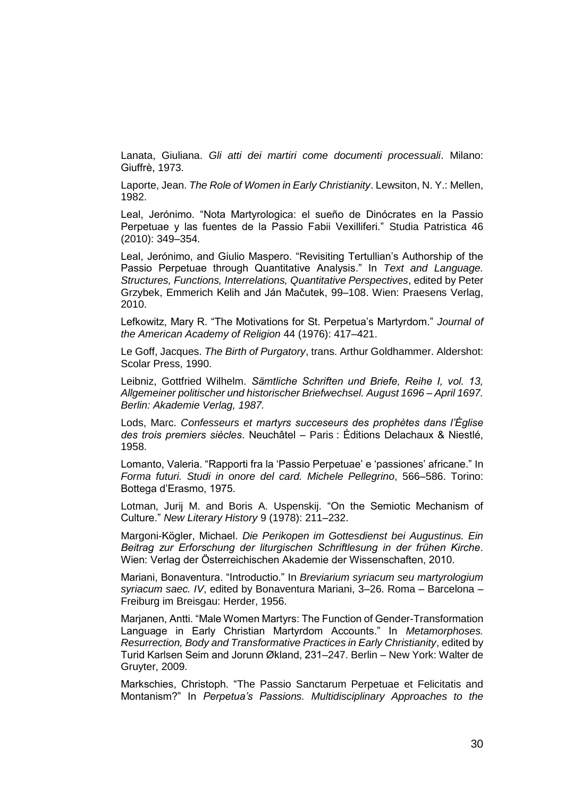Lanata, Giuliana. *Gli atti dei martiri come documenti processuali*. Milano: Giuffrè, 1973.

Laporte, Jean. *The Role of Women in Early Christianity*. Lewsiton, N. Y.: Mellen, 1982.

Leal, Jerónimo. "Nota Martyrologica: el sueño de Dinócrates en la Passio Perpetuae y las fuentes de la Passio Fabii Vexilliferi." Studia Patristica 46 (2010): 349–354.

Leal, Jerónimo, and Giulio Maspero. "Revisiting Tertullian's Authorship of the Passio Perpetuae through Quantitative Analysis." In *Text and Language. Structures, Functions, Interrelations, Quantitative Perspectives*, edited by Peter Grzybek, Emmerich Kelih and Ján Mačutek, 99–108. Wien: Praesens Verlag, 2010.

Lefkowitz, Mary R. "The Motivations for St. Perpetua's Martyrdom." *Journal of the American Academy of Religion* 44 (1976): 417–421.

Le Goff, Jacques. *The Birth of Purgatory*, trans. Arthur Goldhammer. Aldershot: Scolar Press, 1990.

Leibniz, Gottfried Wilhelm. *Sämtliche Schriften und Briefe, Reihe I, vol. 13, Allgemeiner politischer und historischer Briefwechsel. August 1696 – April 1697. Berlin: Akademie Verlag, 1987.*

Lods, Marc. *Confesseurs et martyrs succeseurs des prophètes dans l'Église des trois premiers siècles*. Neuchâtel – Paris : Éditions Delachaux & Niestlé, 1958.

Lomanto, Valeria. "Rapporti fra la 'Passio Perpetuae' e 'passiones' africane." In *Forma futuri. Studi in onore del card. Michele Pellegrino*, 566–586. Torino: Bottega d'Erasmo, 1975.

Lotman, Jurij M. and Boris A. Uspenskij. "On the Semiotic Mechanism of Culture." *New Literary History* 9 (1978): 211–232.

Margoni-Kögler, Michael. *Die Perikopen im Gottesdienst bei Augustinus. Ein Beitrag zur Erforschung der liturgischen Schriftlesung in der frühen Kirche*. Wien: Verlag der Österreichischen Akademie der Wissenschaften, 2010.

Mariani, Bonaventura. "Introductio." In *Breviarium syriacum seu martyrologium syriacum saec. IV*, edited by Bonaventura Mariani, 3–26. Roma – Barcelona – Freiburg im Breisgau: Herder, 1956.

Marjanen, Antti. "Male Women Martyrs: The Function of Gender-Transformation Language in Early Christian Martyrdom Accounts." In *Metamorphoses. Resurrection, Body and Transformative Practices in Early Christianity*, edited by Turid Karlsen Seim and Jorunn Økland, 231–247. Berlin – New York: Walter de Gruyter, 2009.

Markschies, Christoph. "The Passio Sanctarum Perpetuae et Felicitatis and Montanism?" In *Perpetua's Passions. Multidisciplinary Approaches to the*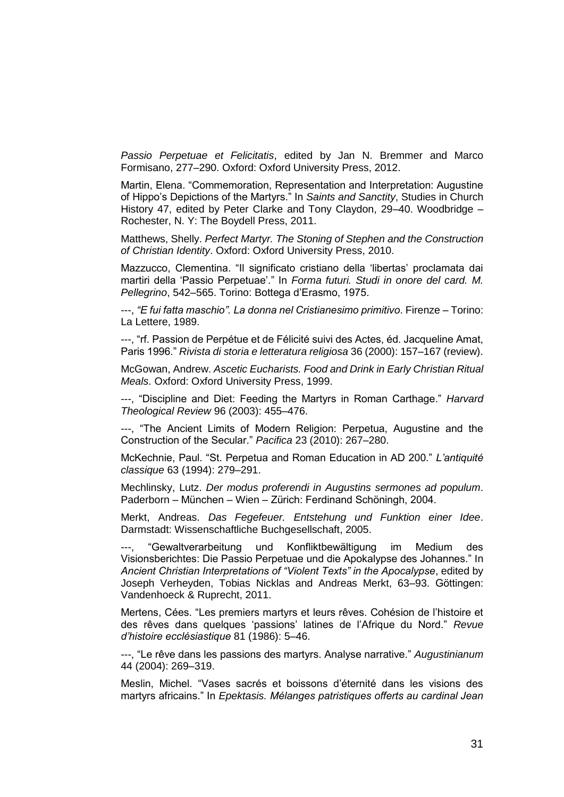*Passio Perpetuae et Felicitatis*, edited by Jan N. Bremmer and Marco Formisano, 277–290. Oxford: Oxford University Press, 2012.

Martin, Elena. "Commemoration, Representation and Interpretation: Augustine of Hippo's Depictions of the Martyrs." In *Saints and Sanctity*, Studies in Church History 47, edited by Peter Clarke and Tony Claydon, 29–40. Woodbridge – Rochester, N. Y: The Boydell Press, 2011.

Matthews, Shelly. *Perfect Martyr. The Stoning of Stephen and the Construction of Christian Identity*. Oxford: Oxford University Press, 2010.

Mazzucco, Clementina. "Il significato cristiano della 'libertas' proclamata dai martiri della 'Passio Perpetuae'." In *Forma futuri. Studi in onore del card. M. Pellegrino*, 542–565. Torino: Bottega d'Erasmo, 1975.

---, *"E fui fatta maschio". La donna nel Cristianesimo primitivo*. Firenze – Torino: La Lettere, 1989.

---, "rf. Passion de Perpétue et de Félicité suivi des Actes, éd. Jacqueline Amat, Paris 1996." *Rivista di storia e letteratura religiosa* 36 (2000): 157–167 (review).

McGowan, Andrew. *Ascetic Eucharists. Food and Drink in Early Christian Ritual Meals*. Oxford: Oxford University Press, 1999.

---, "Discipline and Diet: Feeding the Martyrs in Roman Carthage." *Harvard Theological Review* 96 (2003): 455–476.

---, "The Ancient Limits of Modern Religion: Perpetua, Augustine and the Construction of the Secular." *Pacifica* 23 (2010): 267–280.

McKechnie, Paul. "St. Perpetua and Roman Education in AD 200." *L'antiquité classique* 63 (1994): 279–291.

Mechlinsky, Lutz. *Der modus proferendi in Augustins sermones ad populum*. Paderborn – München – Wien – Zürich: Ferdinand Schöningh, 2004.

Merkt, Andreas. *Das Fegefeuer. Entstehung und Funktion einer Idee*. Darmstadt: Wissenschaftliche Buchgesellschaft, 2005.

"Gewaltverarbeitung und Konfliktbewältigung im Medium des Visionsberichtes: Die Passio Perpetuae und die Apokalypse des Johannes." In *Ancient Christian Interpretations of "Violent Texts" in the Apocalypse*, edited by Joseph Verheyden, Tobias Nicklas and Andreas Merkt, 63–93. Göttingen: Vandenhoeck & Ruprecht, 2011.

Mertens, Cées. "Les premiers martyrs et leurs rêves. Cohésion de l'histoire et des rêves dans quelques 'passions' latines de l'Afrique du Nord." *Revue d'histoire ecclésiastique* 81 (1986): 5–46.

---, "Le rêve dans les passions des martyrs. Analyse narrative." *Augustinianum* 44 (2004): 269–319.

Meslin, Michel. "Vases sacrés et boissons d'éternité dans les visions des martyrs africains." In *Epektasis. Mélanges patristiques offerts au cardinal Jean*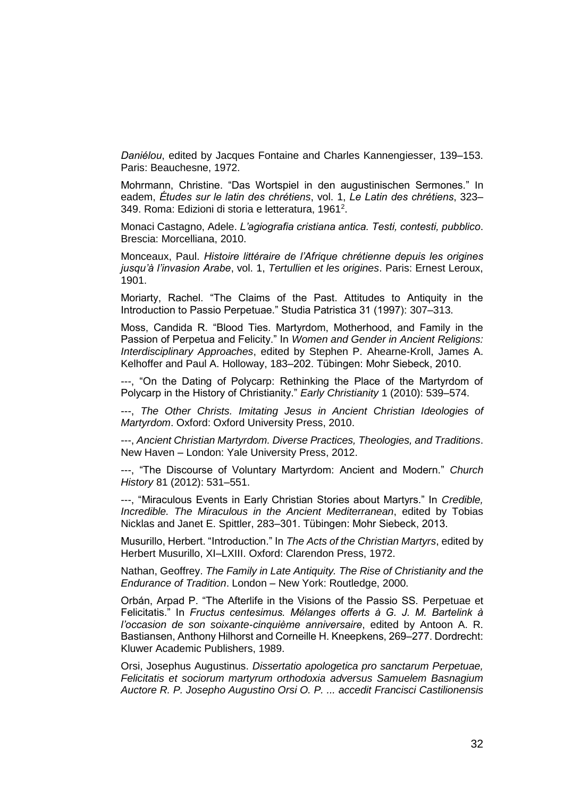*Daniélou*, edited by Jacques Fontaine and Charles Kannengiesser, 139–153. Paris: Beauchesne, 1972.

Mohrmann, Christine. "Das Wortspiel in den augustinischen Sermones." In eadem, *Études sur le latin des chrétiens*, vol. 1, *Le Latin des chrétiens*, 323– 349. Roma: Edizioni di storia e letteratura, 1961<sup>2</sup>.

Monaci Castagno, Adele. *L'agiografia cristiana antica. Testi, contesti, pubblico*. Brescia: Morcelliana, 2010.

Monceaux, Paul. *Histoire littéraire de l'Afrique chrétienne depuis les origines jusqu'à l'invasion Arabe*, vol. 1, *Tertullien et les origines*. Paris: Ernest Leroux, 1901.

Moriarty, Rachel. "The Claims of the Past. Attitudes to Antiquity in the Introduction to Passio Perpetuae." Studia Patristica 31 (1997): 307–313.

Moss, Candida R. "Blood Ties. Martyrdom, Motherhood, and Family in the Passion of Perpetua and Felicity." In *Women and Gender in Ancient Religions: Interdisciplinary Approaches*, edited by Stephen P. Ahearne-Kroll, James A. Kelhoffer and Paul A. Holloway, 183–202. Tübingen: Mohr Siebeck, 2010.

---, "On the Dating of Polycarp: Rethinking the Place of the Martyrdom of Polycarp in the History of Christianity." *Early Christianity* 1 (2010): 539–574.

---, *The Other Christs. Imitating Jesus in Ancient Christian Ideologies of Martyrdom*. Oxford: Oxford University Press, 2010.

---, *Ancient Christian Martyrdom. Diverse Practices, Theologies, and Traditions*. New Haven – London: Yale University Press, 2012.

---, "The Discourse of Voluntary Martyrdom: Ancient and Modern." *Church History* 81 (2012): 531–551.

---, "Miraculous Events in Early Christian Stories about Martyrs." In *Credible, Incredible. The Miraculous in the Ancient Mediterranean*, edited by Tobias Nicklas and Janet E. Spittler, 283–301. Tübingen: Mohr Siebeck, 2013.

Musurillo, Herbert. "Introduction." In *The Acts of the Christian Martyrs*, edited by Herbert Musurillo, XI–LXIII. Oxford: Clarendon Press, 1972.

Nathan, Geoffrey. *The Family in Late Antiquity. The Rise of Christianity and the Endurance of Tradition*. London – New York: Routledge, 2000.

Orbán, Arpad P. "The Afterlife in the Visions of the Passio SS. Perpetuae et Felicitatis." In *Fructus centesimus. Mélanges offerts à G. J. M. Bartelink à l'occasion de son soixante-cinquième anniversaire*, edited by Antoon A. R. Bastiansen, Anthony Hilhorst and Corneille H. Kneepkens, 269–277. Dordrecht: Kluwer Academic Publishers, 1989.

Orsi, Josephus Augustinus. *Dissertatio apologetica pro sanctarum Perpetuae, Felicitatis et sociorum martyrum orthodoxia adversus Samuelem Basnagium Auctore R. P. Josepho Augustino Orsi O. P. ... accedit Francisci Castilionensis*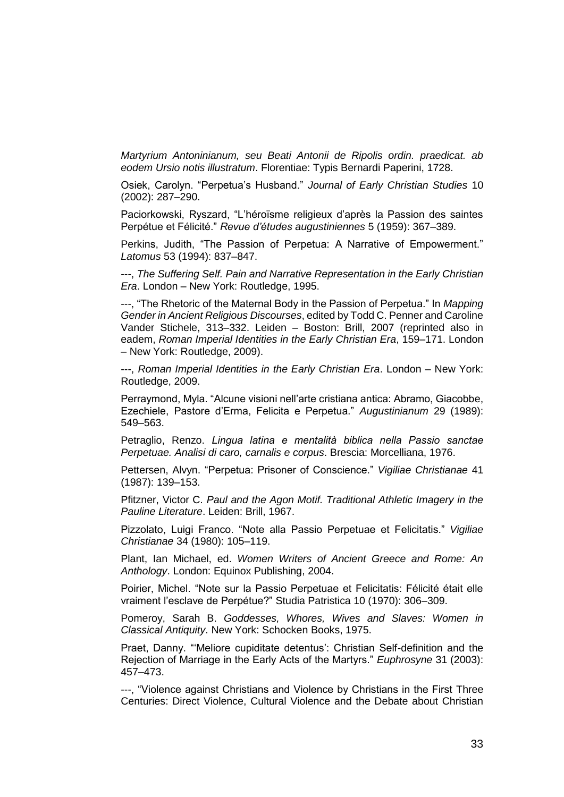*Martyrium Antoninianum, seu Beati Antonii de Ripolis ordin. praedicat. ab eodem Ursio notis illustratum*. Florentiae: Typis Bernardi Paperini, 1728.

Osiek, Carolyn. "Perpetua's Husband." *Journal of Early Christian Studies* 10 (2002): 287–290.

Paciorkowski, Ryszard, "L'héroïsme religieux d'après la Passion des saintes Perpétue et Félicité." *Revue d'études augustiniennes* 5 (1959): 367–389.

Perkins, Judith, "The Passion of Perpetua: A Narrative of Empowerment." *Latomus* 53 (1994): 837–847.

---, *The Suffering Self. Pain and Narrative Representation in the Early Christian Era*. London – New York: Routledge, 1995.

---, "The Rhetoric of the Maternal Body in the Passion of Perpetua." In *Mapping Gender in Ancient Religious Discourses*, edited by Todd C. Penner and Caroline Vander Stichele, 313–332. Leiden – Boston: Brill, 2007 (reprinted also in eadem, *Roman Imperial Identities in the Early Christian Era*, 159–171. London – New York: Routledge, 2009).

---, *Roman Imperial Identities in the Early Christian Era*. London – New York: Routledge, 2009.

Perraymond, Myla. "Alcune visioni nell'arte cristiana antica: Abramo, Giacobbe, Ezechiele, Pastore d'Erma, Felicita e Perpetua." *Augustinianum* 29 (1989): 549–563.

Petraglio, Renzo. *Lingua latina e mentalità biblica nella Passio sanctae Perpetuae. Analisi di caro, carnalis e corpus*. Brescia: Morcelliana, 1976.

Pettersen, Alvyn. "Perpetua: Prisoner of Conscience." *Vigiliae Christianae* 41 (1987): 139–153.

Pfitzner, Victor C. *Paul and the Agon Motif. Traditional Athletic Imagery in the Pauline Literature*. Leiden: Brill, 1967.

Pizzolato, Luigi Franco. "Note alla Passio Perpetuae et Felicitatis." *Vigiliae Christianae* 34 (1980): 105–119.

Plant, Ian Michael, ed. *Women Writers of Ancient Greece and Rome: An Anthology*. London: Equinox Publishing, 2004.

Poirier, Michel. "Note sur la Passio Perpetuae et Felicitatis: Félicité était elle vraiment l'esclave de Perpétue?" Studia Patristica 10 (1970): 306–309.

Pomeroy, Sarah B. *Goddesses, Whores, Wives and Slaves: Women in Classical Antiquity*. New York: Schocken Books, 1975.

Praet, Danny. "'Meliore cupiditate detentus': Christian Self-definition and the Rejection of Marriage in the Early Acts of the Martyrs." *Euphrosyne* 31 (2003): 457–473.

---, "Violence against Christians and Violence by Christians in the First Three Centuries: Direct Violence, Cultural Violence and the Debate about Christian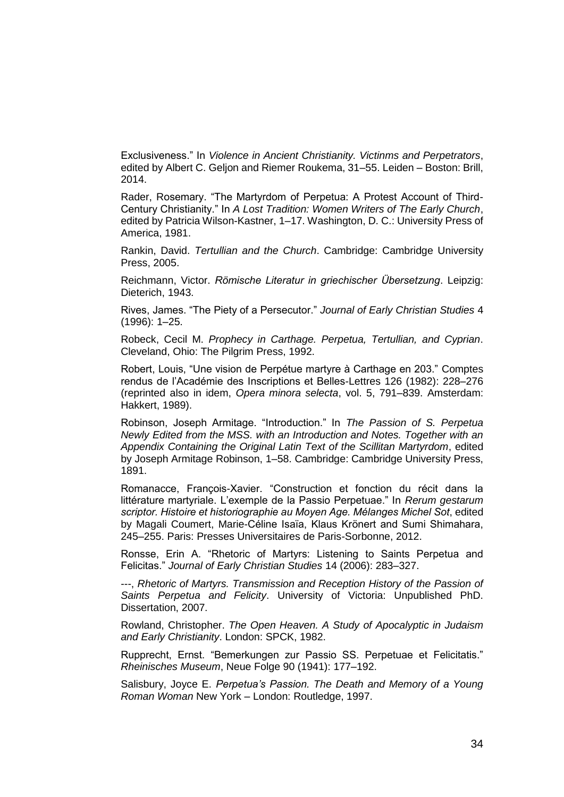Exclusiveness." In *Violence in Ancient Christianity. Victinms and Perpetrators*, edited by Albert C. Geljon and Riemer Roukema, 31–55. Leiden – Boston: Brill, 2014.

Rader, Rosemary. "The Martyrdom of Perpetua: A Protest Account of Third-Century Christianity." In *A Lost Tradition: Women Writers of The Early Church*, edited by Patricia Wilson-Kastner, 1–17. Washington, D. C.: University Press of America, 1981.

Rankin, David. *Tertullian and the Church*. Cambridge: Cambridge University Press, 2005.

Reichmann, Victor. *Römische Literatur in griechischer Übersetzung*. Leipzig: Dieterich, 1943.

Rives, James. "The Piety of a Persecutor." *Journal of Early Christian Studies* 4 (1996): 1–25.

Robeck, Cecil M. *Prophecy in Carthage. Perpetua, Tertullian, and Cyprian*. Cleveland, Ohio: The Pilgrim Press, 1992.

Robert, Louis, "Une vision de Perpétue martyre à Carthage en 203." Comptes rendus de l'Académie des Inscriptions et Belles-Lettres 126 (1982): 228–276 (reprinted also in idem, *Opera minora selecta*, vol. 5, 791–839. Amsterdam: Hakkert, 1989).

Robinson, Joseph Armitage. "Introduction." In *The Passion of S. Perpetua Newly Edited from the MSS. with an Introduction and Notes. Together with an Appendix Containing the Original Latin Text of the Scillitan Martyrdom*, edited by Joseph Armitage Robinson, 1–58. Cambridge: Cambridge University Press, 1891.

Romanacce, François-Xavier. "Construction et fonction du récit dans la littérature martyriale. L'exemple de la Passio Perpetuae." In *Rerum gestarum scriptor. Histoire et historiographie au Moyen Age. Mélanges Michel Sot*, edited by Magali Coumert, Marie-Céline Isaïa, Klaus Krönert and Sumi Shimahara, 245–255. Paris: Presses Universitaires de Paris-Sorbonne, 2012.

Ronsse, Erin A. "Rhetoric of Martyrs: Listening to Saints Perpetua and Felicitas." *Journal of Early Christian Studies* 14 (2006): 283–327.

---, *Rhetoric of Martyrs. Transmission and Reception History of the Passion of Saints Perpetua and Felicity*. University of Victoria: Unpublished PhD. Dissertation, 2007.

Rowland, Christopher. *The Open Heaven. A Study of Apocalyptic in Judaism and Early Christianity*. London: SPCK, 1982.

Rupprecht, Ernst. "Bemerkungen zur Passio SS. Perpetuae et Felicitatis." *Rheinisches Museum*, Neue Folge 90 (1941): 177–192.

Salisbury, Joyce E. *Perpetua's Passion. The Death and Memory of a Young Roman Woman* New York – London: Routledge, 1997.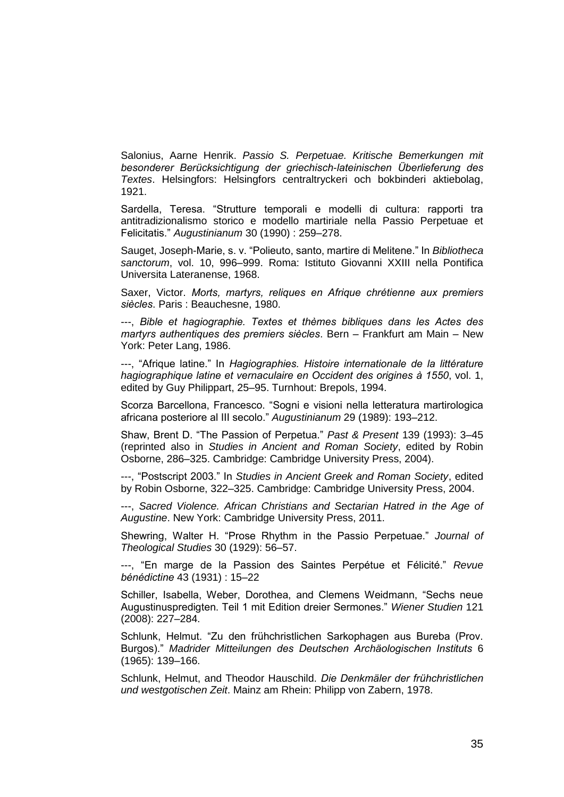Salonius, Aarne Henrik. *Passio S. Perpetuae. Kritische Bemerkungen mit besonderer Berücksichtigung der griechisch-lateinischen Überlieferung des Textes*. Helsingfors: Helsingfors centraltryckeri och bokbinderi aktiebolag, 1921.

Sardella, Teresa. "Strutture temporali e modelli di cultura: rapporti tra antitradizionalismo storico e modello martiriale nella Passio Perpetuae et Felicitatis." *Augustinianum* 30 (1990) : 259–278.

Sauget, Joseph-Marie, s. v. "Polieuto, santo, martire di Melitene." In *Bibliotheca sanctorum*, vol. 10, 996–999. Roma: Istituto Giovanni XXIII nella Pontifica Universita Lateranense, 1968.

Saxer, Victor. *Morts, martyrs, reliques en Afrique chrétienne aux premiers siècles*. Paris : Beauchesne, 1980.

---, *Bible et hagiographie. Textes et thèmes bibliques dans les Actes des martyrs authentiques des premiers siècles*. Bern – Frankfurt am Main – New York: Peter Lang, 1986.

---, "Afrique latine." In *Hagiographies. Histoire internationale de la littérature hagiographique latine et vernaculaire en Occident des origines à 1550*, vol. 1, edited by Guy Philippart, 25–95. Turnhout: Brepols, 1994.

Scorza Barcellona, Francesco. "Sogni e visioni nella letteratura martirologica africana posteriore al III secolo." *Augustinianum* 29 (1989): 193–212.

Shaw, Brent D. "The Passion of Perpetua." *Past & Present* 139 (1993): 3–45 (reprinted also in *Studies in Ancient and Roman Society*, edited by Robin Osborne, 286–325. Cambridge: Cambridge University Press, 2004).

---, "Postscript 2003." In *Studies in Ancient Greek and Roman Society*, edited by Robin Osborne, 322–325. Cambridge: Cambridge University Press, 2004.

---, *Sacred Violence. African Christians and Sectarian Hatred in the Age of Augustine*. New York: Cambridge University Press, 2011.

Shewring, Walter H. "Prose Rhythm in the Passio Perpetuae." *Journal of Theological Studies* 30 (1929): 56–57.

---, "En marge de la Passion des Saintes Perpétue et Félicité." *Revue bénédictine* 43 (1931) : 15–22

Schiller, Isabella, Weber, Dorothea, and Clemens Weidmann, "Sechs neue Augustinuspredigten. Teil 1 mit Edition dreier Sermones." *Wiener Studien* 121 (2008): 227–284.

Schlunk, Helmut. "Zu den frühchristlichen Sarkophagen aus Bureba (Prov. Burgos)." *Madrider Mitteilungen des Deutschen Archäologischen Instituts* 6 (1965): 139–166.

Schlunk, Helmut, and Theodor Hauschild. *Die Denkmäler der frühchristlichen und westgotischen Zeit*. Mainz am Rhein: Philipp von Zabern, 1978.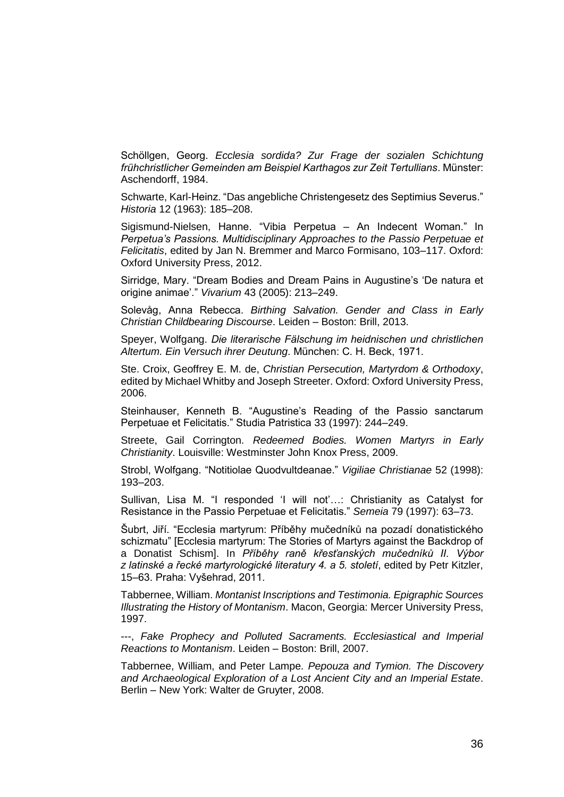Schöllgen, Georg. *Ecclesia sordida? Zur Frage der sozialen Schichtung frühchristlicher Gemeinden am Beispiel Karthagos zur Zeit Tertullians*. Münster: Aschendorff, 1984.

Schwarte, Karl-Heinz. "Das angebliche Christengesetz des Septimius Severus." *Historia* 12 (1963): 185–208.

Sigismund-Nielsen, Hanne. "Vibia Perpetua – An Indecent Woman." In *Perpetua's Passions. Multidisciplinary Approaches to the Passio Perpetuae et Felicitatis*, edited by Jan N. Bremmer and Marco Formisano, 103–117. Oxford: Oxford University Press, 2012.

Sirridge, Mary. "Dream Bodies and Dream Pains in Augustine's 'De natura et origine animae'." *Vivarium* 43 (2005): 213–249.

Solevåg, Anna Rebecca. *Birthing Salvation. Gender and Class in Early Christian Childbearing Discourse*. Leiden – Boston: Brill, 2013.

Speyer, Wolfgang. *Die literarische Fälschung im heidnischen und christlichen Altertum. Ein Versuch ihrer Deutung*. München: C. H. Beck, 1971.

Ste. Croix, Geoffrey E. M. de, *Christian Persecution, Martyrdom & Orthodoxy*, edited by Michael Whitby and Joseph Streeter. Oxford: Oxford University Press, 2006.

Steinhauser, Kenneth B. "Augustine's Reading of the Passio sanctarum Perpetuae et Felicitatis." Studia Patristica 33 (1997): 244–249.

Streete, Gail Corrington. *Redeemed Bodies. Women Martyrs in Early Christianity*. Louisville: Westminster John Knox Press, 2009.

Strobl, Wolfgang. "Notitiolae Quodvultdeanae." *Vigiliae Christianae* 52 (1998): 193–203.

Sullivan, Lisa M. "I responded 'I will not'…: Christianity as Catalyst for Resistance in the Passio Perpetuae et Felicitatis." *Semeia* 79 (1997): 63–73.

Šubrt, Jiří. "Ecclesia martyrum: Příběhy mučedníků na pozadí donatistického schizmatu" [Ecclesia martyrum: The Stories of Martyrs against the Backdrop of a Donatist Schism]. In *Příběhy raně křesťanských mučedníků II. Výbor z latinské a řecké martyrologické literatury 4. a 5. století*, edited by Petr Kitzler, 15–63. Praha: Vyšehrad, 2011.

Tabbernee, William. *Montanist Inscriptions and Testimonia. Epigraphic Sources Illustrating the History of Montanism*. Macon, Georgia: Mercer University Press, 1997.

---, *Fake Prophecy and Polluted Sacraments. Ecclesiastical and Imperial Reactions to Montanism*. Leiden – Boston: Brill, 2007.

Tabbernee, William, and Peter Lampe. *Pepouza and Tymion. The Discovery and Archaeological Exploration of a Lost Ancient City and an Imperial Estate*. Berlin – New York: Walter de Gruyter, 2008.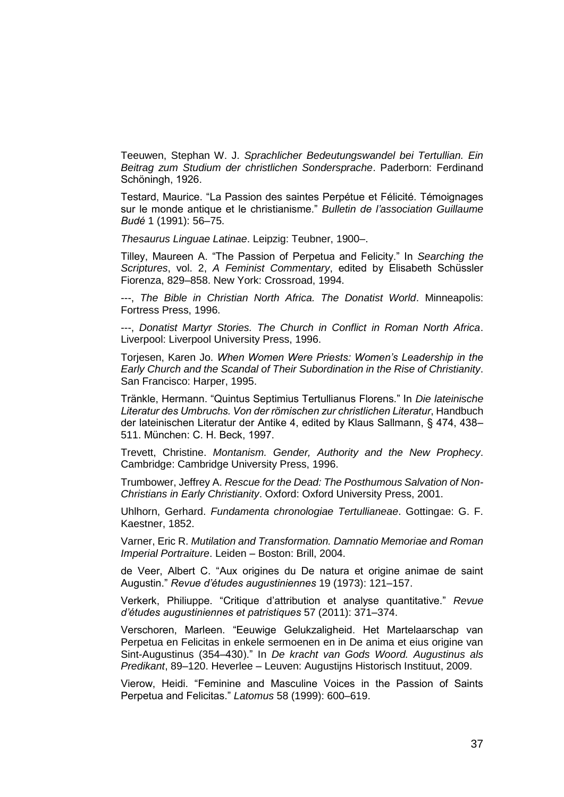Teeuwen, Stephan W. J. *Sprachlicher Bedeutungswandel bei Tertullian. Ein Beitrag zum Studium der christlichen Sondersprache*. Paderborn: Ferdinand Schöningh, 1926.

Testard, Maurice. "La Passion des saintes Perpétue et Félicité. Témoignages sur le monde antique et le christianisme." *Bulletin de l'association Guillaume Budé* 1 (1991): 56–75.

*Thesaurus Linguae Latinae*. Leipzig: Teubner, 1900–.

Tilley, Maureen A. "The Passion of Perpetua and Felicity." In *Searching the Scriptures*, vol. 2, *A Feminist Commentary*, edited by Elisabeth Schüssler Fiorenza, 829–858. New York: Crossroad, 1994.

---, *The Bible in Christian North Africa. The Donatist World*. Minneapolis: Fortress Press, 1996.

---, *Donatist Martyr Stories. The Church in Conflict in Roman North Africa*. Liverpool: Liverpool University Press, 1996.

Torjesen, Karen Jo. *When Women Were Priests: Women's Leadership in the Early Church and the Scandal of Their Subordination in the Rise of Christianity*. San Francisco: Harper, 1995.

Tränkle, Hermann. "Quintus Septimius Tertullianus Florens." In *Die lateinische Literatur des Umbruchs. Von der römischen zur christlichen Literatur*, Handbuch der lateinischen Literatur der Antike 4, edited by Klaus Sallmann, § 474, 438– 511. München: C. H. Beck, 1997.

Trevett, Christine. *Montanism. Gender, Authority and the New Prophecy*. Cambridge: Cambridge University Press, 1996.

Trumbower, Jeffrey A. *Rescue for the Dead: The Posthumous Salvation of Non-Christians in Early Christianity*. Oxford: Oxford University Press, 2001.

Uhlhorn, Gerhard. *Fundamenta chronologiae Tertullianeae*. Gottingae: G. F. Kaestner, 1852.

Varner, Eric R. *Mutilation and Transformation. Damnatio Memoriae and Roman Imperial Portraiture*. Leiden – Boston: Brill, 2004.

de Veer, Albert C. "Aux origines du De natura et origine animae de saint Augustin." *Revue d'études augustiniennes* 19 (1973): 121–157.

Verkerk, Philiuppe. "Critique d'attribution et analyse quantitative." *Revue d'études augustiniennes et patristiques* 57 (2011): 371–374.

Verschoren, Marleen. "Eeuwige Gelukzaligheid. Het Martelaarschap van Perpetua en Felicitas in enkele sermoenen en in De anima et eius origine van Sint-Augustinus (354–430)." In *De kracht van Gods Woord. Augustinus als Predikant*, 89–120. Heverlee – Leuven: Augustijns Historisch Instituut, 2009.

Vierow, Heidi. "Feminine and Masculine Voices in the Passion of Saints Perpetua and Felicitas." *Latomus* 58 (1999): 600–619.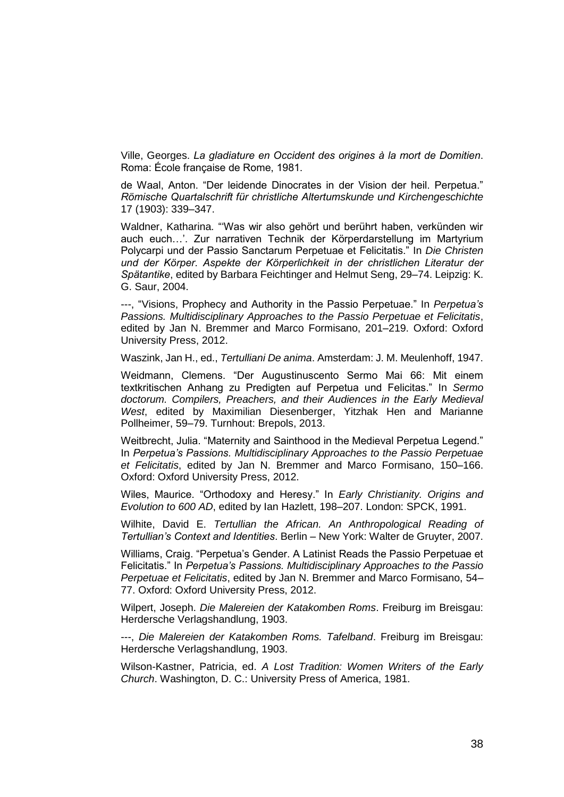Ville, Georges. *La gladiature en Occident des origines à la mort de Domitien*. Roma: École française de Rome, 1981.

de Waal, Anton. "Der leidende Dinocrates in der Vision der heil. Perpetua." *Römische Quartalschrift für christliche Altertumskunde und Kirchengeschichte* 17 (1903): 339–347.

Waldner, Katharina. "'Was wir also gehört und berührt haben, verkünden wir auch euch…'. Zur narrativen Technik der Körperdarstellung im Martyrium Polycarpi und der Passio Sanctarum Perpetuae et Felicitatis." In *Die Christen und der Körper. Aspekte der Körperlichkeit in der christlichen Literatur der Spätantike*, edited by Barbara Feichtinger and Helmut Seng, 29–74. Leipzig: K. G. Saur, 2004.

---, "Visions, Prophecy and Authority in the Passio Perpetuae." In *Perpetua's Passions. Multidisciplinary Approaches to the Passio Perpetuae et Felicitatis*, edited by Jan N. Bremmer and Marco Formisano, 201–219. Oxford: Oxford University Press, 2012.

Waszink, Jan H., ed., *Tertulliani De anima*. Amsterdam: J. M. Meulenhoff, 1947.

Weidmann, Clemens. "Der Augustinuscento Sermo Mai 66: Mit einem textkritischen Anhang zu Predigten auf Perpetua und Felicitas." In *Sermo doctorum. Compilers, Preachers, and their Audiences in the Early Medieval West*, edited by Maximilian Diesenberger, Yitzhak Hen and Marianne Pollheimer, 59–79. Turnhout: Brepols, 2013.

Weitbrecht, Julia. "Maternity and Sainthood in the Medieval Perpetua Legend." In *Perpetua's Passions. Multidisciplinary Approaches to the Passio Perpetuae et Felicitatis*, edited by Jan N. Bremmer and Marco Formisano, 150–166. Oxford: Oxford University Press, 2012.

Wiles, Maurice. "Orthodoxy and Heresy." In *Early Christianity. Origins and Evolution to 600 AD*, edited by Ian Hazlett, 198–207. London: SPCK, 1991.

Wilhite, David E. *Tertullian the African. An Anthropological Reading of Tertullian's Context and Identities*. Berlin – New York: Walter de Gruyter, 2007.

Williams, Craig. "Perpetua's Gender. A Latinist Reads the Passio Perpetuae et Felicitatis." In *Perpetua's Passions. Multidisciplinary Approaches to the Passio Perpetuae et Felicitatis*, edited by Jan N. Bremmer and Marco Formisano, 54– 77. Oxford: Oxford University Press, 2012.

Wilpert, Joseph. *Die Malereien der Katakomben Roms*. Freiburg im Breisgau: Herdersche Verlagshandlung, 1903.

---, *Die Malereien der Katakomben Roms. Tafelband*. Freiburg im Breisgau: Herdersche Verlagshandlung, 1903.

Wilson-Kastner, Patricia, ed. *A Lost Tradition: Women Writers of the Early Church*. Washington, D. C.: University Press of America, 1981.